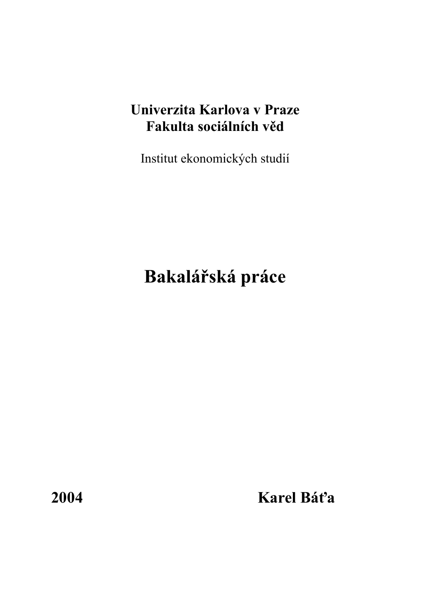# **Univerzita Karlova v Praze Fakulta sociálních věd**

Institut ekonomických studií

# **Bakalářská práce**

**2004 Karel Báťa**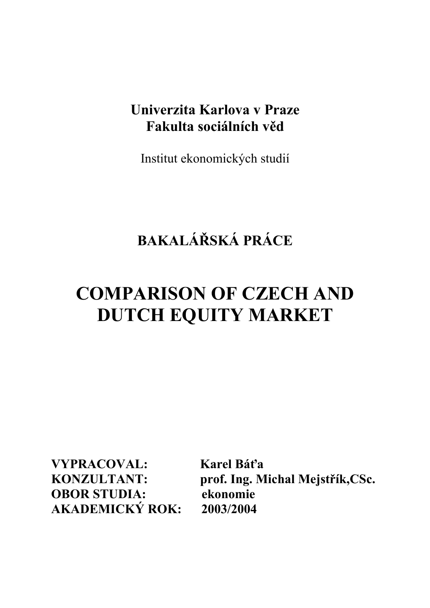# **Univerzita Karlova v Praze Fakulta sociálních věd**

Institut ekonomických studií

# **BAKALÁŘSKÁ PRÁCE**

# **COMPARISON OF CZECH AND DUTCH EQUITY MARKET**

**VYPRACOVAL: Karel Báťa OBOR STUDIA: ekonomie AKADEMICKÝ ROK: 2003/2004**

**KONZULTANT: prof. Ing. Michal Mejstřík,CSc.**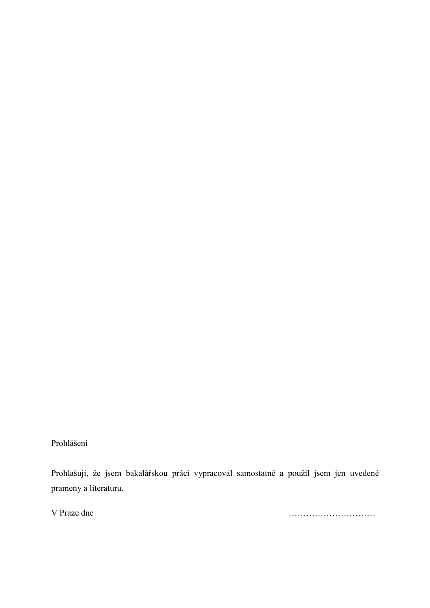Prohlášení

Prohlašuji, že jsem bakalářskou práci vypracoval samostatně a použil jsem jen uvedené prameny a literaturu.

V Praze dne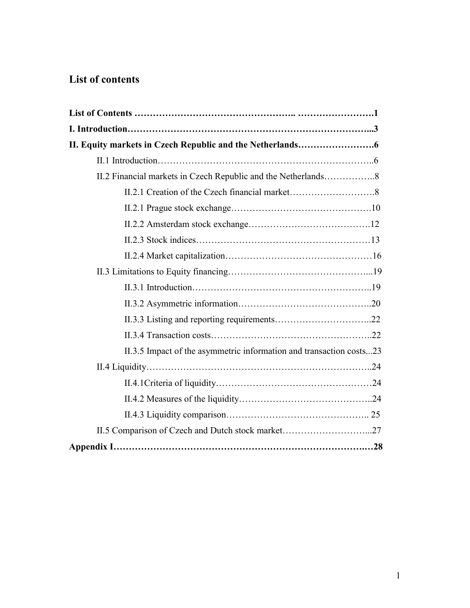# **List of contents**

| II.3.5 Impact of the asymmetric information and transaction costs23 |  |
|---------------------------------------------------------------------|--|
|                                                                     |  |
|                                                                     |  |
|                                                                     |  |
|                                                                     |  |
| II.5 Comparison of Czech and Dutch stock market27                   |  |
|                                                                     |  |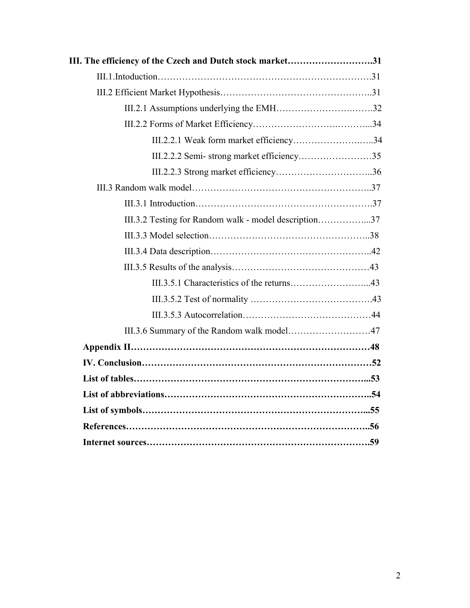| III. The efficiency of the Czech and Dutch stock market31 |  |
|-----------------------------------------------------------|--|
|                                                           |  |
|                                                           |  |
|                                                           |  |
|                                                           |  |
| III.2.2.1 Weak form market efficiency34                   |  |
|                                                           |  |
|                                                           |  |
|                                                           |  |
|                                                           |  |
| III.3.2 Testing for Random walk - model description37     |  |
|                                                           |  |
|                                                           |  |
|                                                           |  |
|                                                           |  |
|                                                           |  |
|                                                           |  |
|                                                           |  |
|                                                           |  |
|                                                           |  |
|                                                           |  |
|                                                           |  |
|                                                           |  |
|                                                           |  |
|                                                           |  |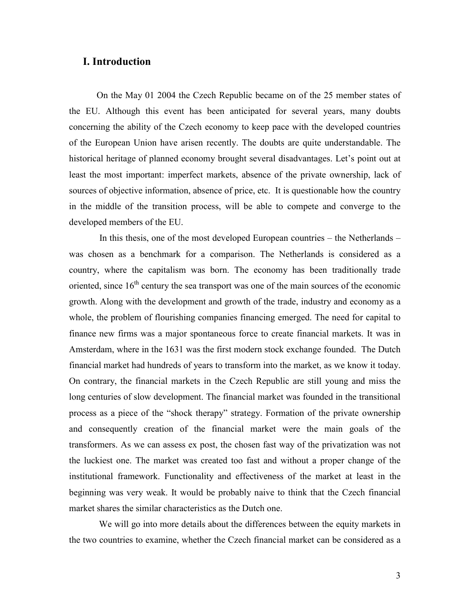### **I. Introduction**

On the May 01 2004 the Czech Republic became on of the 25 member states of the EU. Although this event has been anticipated for several years, many doubts concerning the ability of the Czech economy to keep pace with the developed countries of the European Union have arisen recently. The doubts are quite understandable. The historical heritage of planned economy brought several disadvantages. Let's point out at least the most important: imperfect markets, absence of the private ownership, lack of sources of objective information, absence of price, etc. It is questionable how the country in the middle of the transition process, will be able to compete and converge to the developed members of the EU.

 In this thesis, one of the most developed European countries – the Netherlands – was chosen as a benchmark for a comparison. The Netherlands is considered as a country, where the capitalism was born. The economy has been traditionally trade oriented, since  $16<sup>th</sup>$  century the sea transport was one of the main sources of the economic growth. Along with the development and growth of the trade, industry and economy as a whole, the problem of flourishing companies financing emerged. The need for capital to finance new firms was a major spontaneous force to create financial markets. It was in Amsterdam, where in the 1631 was the first modern stock exchange founded. The Dutch financial market had hundreds of years to transform into the market, as we know it today. On contrary, the financial markets in the Czech Republic are still young and miss the long centuries of slow development. The financial market was founded in the transitional process as a piece of the "shock therapy" strategy. Formation of the private ownership and consequently creation of the financial market were the main goals of the transformers. As we can assess ex post, the chosen fast way of the privatization was not the luckiest one. The market was created too fast and without a proper change of the institutional framework. Functionality and effectiveness of the market at least in the beginning was very weak. It would be probably naive to think that the Czech financial market shares the similar characteristics as the Dutch one.

 We will go into more details about the differences between the equity markets in the two countries to examine, whether the Czech financial market can be considered as a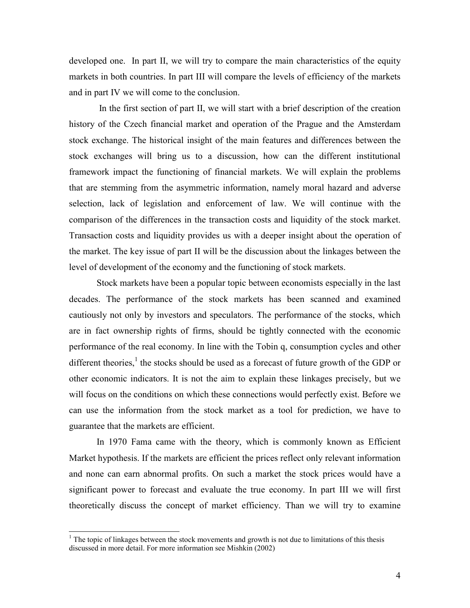developed one. In part II, we will try to compare the main characteristics of the equity markets in both countries. In part III will compare the levels of efficiency of the markets and in part IV we will come to the conclusion.

 In the first section of part II, we will start with a brief description of the creation history of the Czech financial market and operation of the Prague and the Amsterdam stock exchange. The historical insight of the main features and differences between the stock exchanges will bring us to a discussion, how can the different institutional framework impact the functioning of financial markets. We will explain the problems that are stemming from the asymmetric information, namely moral hazard and adverse selection, lack of legislation and enforcement of law. We will continue with the comparison of the differences in the transaction costs and liquidity of the stock market. Transaction costs and liquidity provides us with a deeper insight about the operation of the market. The key issue of part II will be the discussion about the linkages between the level of development of the economy and the functioning of stock markets.

Stock markets have been a popular topic between economists especially in the last decades. The performance of the stock markets has been scanned and examined cautiously not only by investors and speculators. The performance of the stocks, which are in fact ownership rights of firms, should be tightly connected with the economic performance of the real economy. In line with the Tobin q, consumption cycles and other different theories,<sup>[1](#page-6-0)</sup> the stocks should be used as a forecast of future growth of the GDP or other economic indicators. It is not the aim to explain these linkages precisely, but we will focus on the conditions on which these connections would perfectly exist. Before we can use the information from the stock market as a tool for prediction, we have to guarantee that the markets are efficient.

In 1970 Fama came with the theory, which is commonly known as Efficient Market hypothesis. If the markets are efficient the prices reflect only relevant information and none can earn abnormal profits. On such a market the stock prices would have a significant power to forecast and evaluate the true economy. In part III we will first theoretically discuss the concept of market efficiency. Than we will try to examine

<span id="page-6-0"></span><sup>&</sup>lt;sup>1</sup> The topic of linkages between the stock movements and growth is not due to limitations of this thesis discussed in more detail. For more information see Mishkin (2002)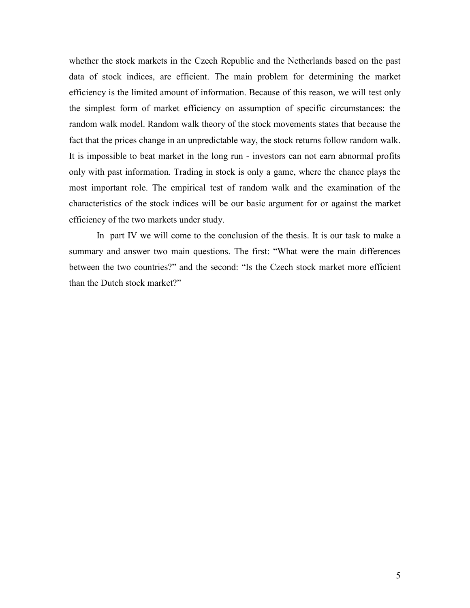whether the stock markets in the Czech Republic and the Netherlands based on the past data of stock indices, are efficient. The main problem for determining the market efficiency is the limited amount of information. Because of this reason, we will test only the simplest form of market efficiency on assumption of specific circumstances: the random walk model. Random walk theory of the stock movements states that because the fact that the prices change in an unpredictable way, the stock returns follow random walk. It is impossible to beat market in the long run - investors can not earn abnormal profits only with past information. Trading in stock is only a game, where the chance plays the most important role. The empirical test of random walk and the examination of the characteristics of the stock indices will be our basic argument for or against the market efficiency of the two markets under study.

In part IV we will come to the conclusion of the thesis. It is our task to make a summary and answer two main questions. The first: "What were the main differences between the two countries?" and the second: "Is the Czech stock market more efficient than the Dutch stock market?"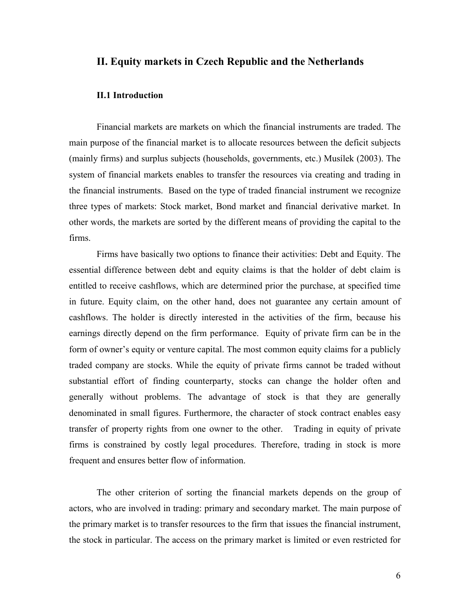#### **II. Equity markets in Czech Republic and the Netherlands**

#### **II.1 Introduction**

Financial markets are markets on which the financial instruments are traded. The main purpose of the financial market is to allocate resources between the deficit subjects (mainly firms) and surplus subjects (households, governments, etc.) Musílek (2003). The system of financial markets enables to transfer the resources via creating and trading in the financial instruments. Based on the type of traded financial instrument we recognize three types of markets: Stock market, Bond market and financial derivative market. In other words, the markets are sorted by the different means of providing the capital to the firms.

Firms have basically two options to finance their activities: Debt and Equity. The essential difference between debt and equity claims is that the holder of debt claim is entitled to receive cashflows, which are determined prior the purchase, at specified time in future. Equity claim, on the other hand, does not guarantee any certain amount of cashflows. The holder is directly interested in the activities of the firm, because his earnings directly depend on the firm performance. Equity of private firm can be in the form of owner's equity or venture capital. The most common equity claims for a publicly traded company are stocks. While the equity of private firms cannot be traded without substantial effort of finding counterparty, stocks can change the holder often and generally without problems. The advantage of stock is that they are generally denominated in small figures. Furthermore, the character of stock contract enables easy transfer of property rights from one owner to the other. Trading in equity of private firms is constrained by costly legal procedures. Therefore, trading in stock is more frequent and ensures better flow of information.

The other criterion of sorting the financial markets depends on the group of actors, who are involved in trading: primary and secondary market. The main purpose of the primary market is to transfer resources to the firm that issues the financial instrument, the stock in particular. The access on the primary market is limited or even restricted for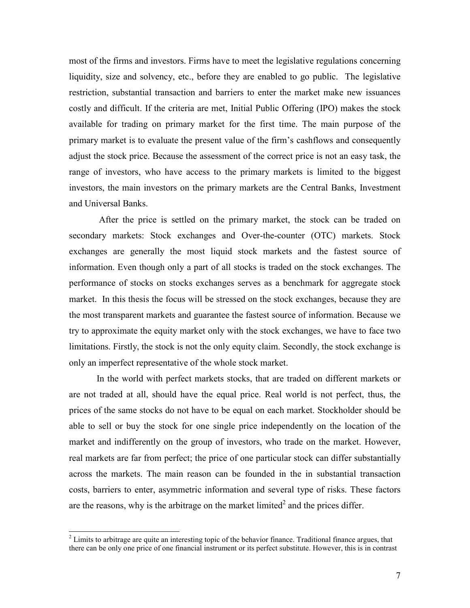<span id="page-9-0"></span>most of the firms and investors. Firms have to meet the legislative regulations concerning liquidity, size and solvency, etc., before they are enabled to go public. The legislative restriction, substantial transaction and barriers to enter the market make new issuances costly and difficult. If the criteria are met, Initial Public Offering (IPO) makes the stock available for trading on primary market for the first time. The main purpose of the primary market is to evaluate the present value of the firm's cashflows and consequently adjust the stock price. Because the assessment of the correct price is not an easy task, the range of investors, who have access to the primary markets is limited to the biggest investors, the main investors on the primary markets are the Central Banks, Investment and Universal Banks.

 After the price is settled on the primary market, the stock can be traded on secondary markets: Stock exchanges and Over-the-counter (OTC) markets. Stock exchanges are generally the most liquid stock markets and the fastest source of information. Even though only a part of all stocks is traded on the stock exchanges. The performance of stocks on stocks exchanges serves as a benchmark for aggregate stock market. In this thesis the focus will be stressed on the stock exchanges, because they are the most transparent markets and guarantee the fastest source of information. Because we try to approximate the equity market only with the stock exchanges, we have to face two limitations. Firstly, the stock is not the only equity claim. Secondly, the stock exchange is only an imperfect representative of the whole stock market.

In the world with perfect markets stocks, that are traded on different markets or are not traded at all, should have the equal price. Real world is not perfect, thus, the prices of the same stocks do not have to be equal on each market. Stockholder should be able to sell or buy the stock for one single price independently on the location of the market and indifferently on the group of investors, who trade on the market. However, real markets are far from perfect; the price of one particular stock can differ substantially across the markets. The main reason can be founded in the in substantial transaction costs, barriers to enter, asymmetric information and several type of risks. These factors are the reasons, why is the arbitrage on the market limited<sup>2</sup> and the prices differ.

<sup>&</sup>lt;sup>2</sup> Limits to arbitrage are quite an interesting topic of the behavior finance. Traditional finance argues, that there can be only one price of one financial instrument or its perfect substitute. However, this is in contrast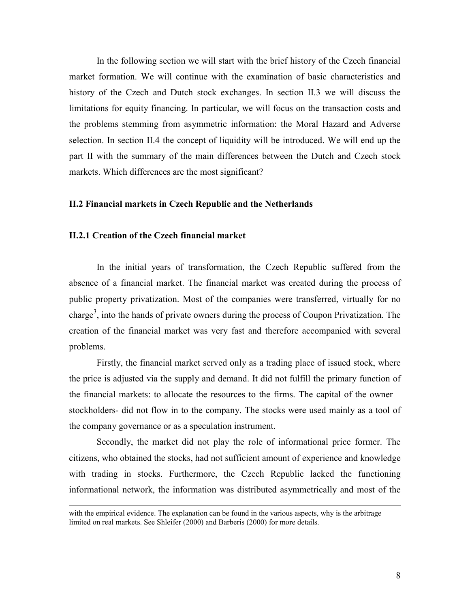In the following section we will start with the brief history of the Czech financial market formation. We will continue with the examination of basic characteristics and history of the Czech and Dutch stock exchanges. In section II.3 we will discuss the limitations for equity financing. In particular, we will focus on the transaction costs and the problems stemming from asymmetric information: the Moral Hazard and Adverse selection. In section II.4 the concept of liquidity will be introduced. We will end up the part II with the summary of the main differences between the Dutch and Czech stock markets. Which differences are the most significant?

#### **II.2 Financial markets in Czech Republic and the Netherlands**

#### **II.2.1 Creation of the Czech financial market**

l

In the initial years of transformation, the Czech Republic suffered from the absence of a financial market. The financial market was created during the process of public property privatization. Most of the companies were transferred, virtually for no charge<sup>3</sup>[,](#page-10-0) into the hands of private owners during the process of Coupon Privatization. The creation of the financial market was very fast and therefore accompanied with several problems.

<span id="page-10-0"></span>Firstly, the financial market served only as a trading place of issued stock, where the price is adjusted via the supply and demand. It did not fulfill the primary function of the financial markets: to allocate the resources to the firms. The capital of the owner – stockholders- did not flow in to the company. The stocks were used mainly as a tool of the company governance or as a speculation instrument.

Secondly, the market did not play the role of informational price former. The citizens, who obtained the stocks, had not sufficient amount of experience and knowledge with trading in stocks. Furthermore, the Czech Republic lacked the functioning informational network, the information was distributed asymmetrically and most of the

with the empirical evidence. The explanation can be found in the various aspects, why is the arbitrage limited on real markets. See Shleifer (2000) and Barberis (2000) for more details.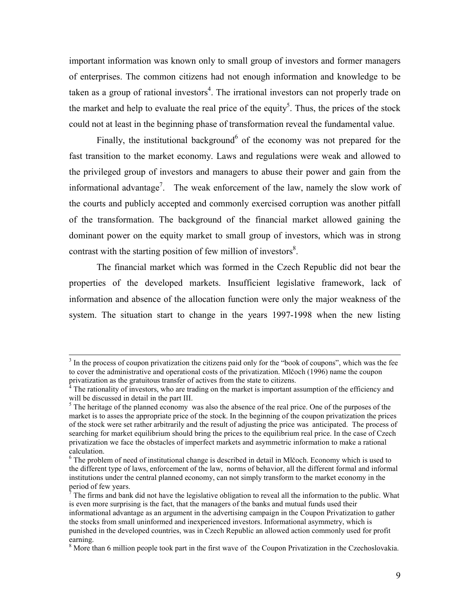important information was known only to small group of investors and former managers of enterprises. The common citizens had not enough information and knowledge to be taken as a group of rational investors<sup>4</sup>. The irrational investors can not properly trade on the market and help to evaluate the real price of the equity<sup>5</sup>. Thus, the prices of the stock could not at least in the beginning phase of transformation reveal the fundamental value.

Finally, the institutional background<sup>[6](#page-11-2)</sup> of the economy was not prepared for the fast transition to the market economy. Laws and regulations were weak and allowed to the privileged group of investors and managers to abuse their power and gain from the informational advantage<sup>[7](#page-11-3)</sup>. The weak enforcement of the law, namely the slow work of the courts and publicly accepted and commonly exercised corruption was another pitfall of the transformation. The background of the financial market allowed gaining the dominant power on the equity market to small group of investors, which was in strong contrast with the starting position of few million of investors $8$ .

The financial market which was formed in the Czech Republic did not bear the properties of the developed markets. Insufficient legislative framework, lack of information and absence of the allocation function were only the major weakness of the system. The situation start to change in the years 1997-1998 when the new listing

 <sup>3</sup> <sup>3</sup> In the process of coupon privatization the citizens paid only for the "book of coupons", which was the fee to cover the administrative and operational costs of the privatization. Mlčoch (1996) name the coupon privatization as the gratuitous transfer of actives from the state to citizens.

<span id="page-11-0"></span><sup>4</sup> The rationality of investors, who are trading on the market is important assumption of the efficiency and will be discussed in detail in the part III.

<span id="page-11-1"></span> $<sup>5</sup>$  The heritage of the planned economy was also the absence of the real price. One of the purposes of the</sup> market is to asses the appropriate price of the stock. In the beginning of the coupon privatization the prices of the stock were set rather arbitrarily and the result of adjusting the price was anticipated. The process of searching for market equilibrium should bring the prices to the equilibrium real price. In the case of Czech privatization we face the obstacles of imperfect markets and asymmetric information to make a rational calculation.

<span id="page-11-2"></span> $6$  The problem of need of institutional change is described in detail in Mlčoch. Economy which is used to the different type of laws, enforcement of the law, norms of behavior, all the different formal and informal institutions under the central planned economy, can not simply transform to the market economy in the period of few years.

<span id="page-11-3"></span> $<sup>7</sup>$  The firms and bank did not have the legislative obligation to reveal all the information to the public. What</sup> is even more surprising is the fact, that the managers of the banks and mutual funds used their informational advantage as an argument in the advertising campaign in the Coupon Privatization to gather the stocks from small uninformed and inexperienced investors. Informational asymmetry, which is punished in the developed countries, was in Czech Republic an allowed action commonly used for profit earning.

<span id="page-11-4"></span><sup>&</sup>lt;sup>8</sup> More than 6 million people took part in the first wave of the Coupon Privatization in the Czechoslovakia.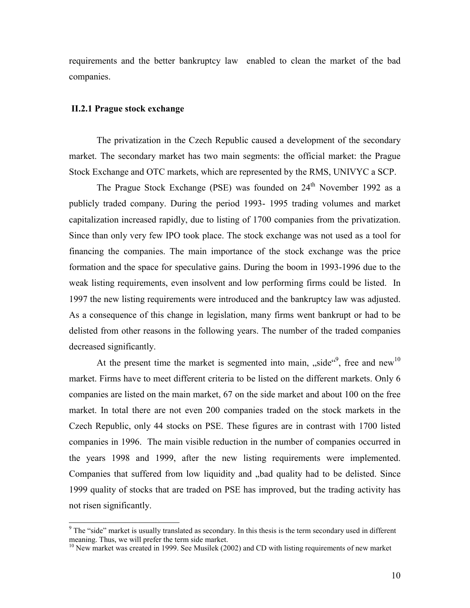requirements and the better bankruptcy law enabled to clean the market of the bad companies.

#### **II.2.1 Prague stock exchange**

 $\overline{a}$ 

The privatization in the Czech Republic caused a development of the secondary market. The secondary market has two main segments: the official market: the Prague Stock Exchange and OTC markets, which are represented by the RMS, UNIVYC a SCP.

The Prague Stock Exchange (PSE) was founded on  $24<sup>th</sup>$  November 1992 as a publicly traded company. During the period 1993- 1995 trading volumes and market capitalization increased rapidly, due to listing of 1700 companies from the privatization. Since than only very few IPO took place. The stock exchange was not used as a tool for financing the companies. The main importance of the stock exchange was the price formation and the space for speculative gains. During the boom in 1993-1996 due to the weak listing requirements, even insolvent and low performing firms could be listed. In 1997 the new listing requirements were introduced and the bankruptcy law was adjusted. As a consequence of this change in legislation, many firms went bankrupt or had to be delisted from other reasons in the following years. The number of the traded companies decreased significantly.

At the present time the market is segmented into main, "side"<sup>9</sup>, free and new<sup>[10](#page-12-1)</sup> market. Firms have to meet different criteria to be listed on the different markets. Only 6 companies are listed on the main market, 67 on the side market and about 100 on the free market. In total there are not even 200 companies traded on the stock markets in the Czech Republic, only 44 stocks on PSE. These figures are in contrast with 1700 listed companies in 1996. The main visible reduction in the number of companies occurred in the years 1998 and 1999, after the new listing requirements were implemented. Companies that suffered from low liquidity and "bad quality had to be delisted. Since 1999 quality of stocks that are traded on PSE has improved, but the trading activity has not risen significantly.

<span id="page-12-0"></span> $9$  The "side" market is usually translated as secondary. In this thesis is the term secondary used in different meaning. Thus, we will prefer the term side market.

<span id="page-12-1"></span><sup>&</sup>lt;sup>10</sup> New market was created in 1999. See Musílek (2002) and CD with listing requirements of new market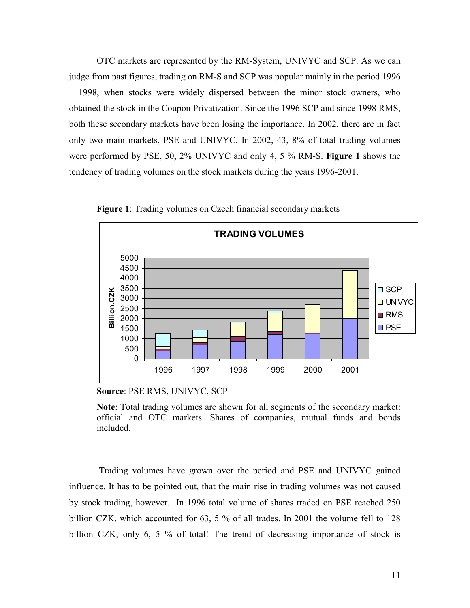OTC markets are represented by the RM-System, UNIVYC and SCP. As we can judge from past figures, trading on RM-S and SCP was popular mainly in the period 1996 – 1998, when stocks were widely dispersed between the minor stock owners, who obtained the stock in the Coupon Privatization. Since the 1996 SCP and since 1998 RMS, both these secondary markets have been losing the importance. In 2002, there are in fact only two main markets, PSE and UNIVYC. In 2002, 43, 8% of total trading volumes were performed by PSE, 50, 2% UNIVYC and only 4, 5 % RM-S. **Figure 1** shows the tendency of trading volumes on the stock markets during the years 1996-2001.



**Figure 1**: Trading volumes on Czech financial secondary markets

**Note**: Total trading volumes are shown for all segments of the secondary market: official and OTC markets. Shares of companies, mutual funds and bonds included.

 Trading volumes have grown over the period and PSE and UNIVYC gained influence. It has to be pointed out, that the main rise in trading volumes was not caused by stock trading, however. In 1996 total volume of shares traded on PSE reached 250 billion CZK, which accounted for 63, 5 % of all trades. In 2001 the volume fell to 128 billion CZK, only 6, 5 % of total! The trend of decreasing importance of stock is

**Source**: PSE RMS, UNIVYC, SCP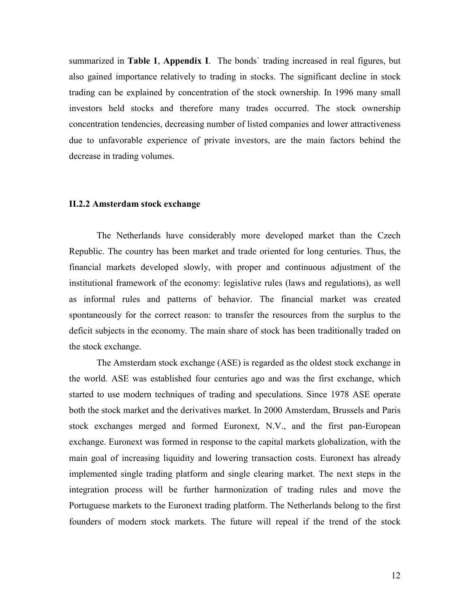summarized in **Table 1**, **Appendix I**. The bonds` trading increased in real figures, but also gained importance relatively to trading in stocks. The significant decline in stock trading can be explained by concentration of the stock ownership. In 1996 many small investors held stocks and therefore many trades occurred. The stock ownership concentration tendencies, decreasing number of listed companies and lower attractiveness due to unfavorable experience of private investors, are the main factors behind the decrease in trading volumes.

#### **II.2.2 Amsterdam stock exchange**

The Netherlands have considerably more developed market than the Czech Republic. The country has been market and trade oriented for long centuries. Thus, the financial markets developed slowly, with proper and continuous adjustment of the institutional framework of the economy: legislative rules (laws and regulations), as well as informal rules and patterns of behavior. The financial market was created spontaneously for the correct reason: to transfer the resources from the surplus to the deficit subjects in the economy. The main share of stock has been traditionally traded on the stock exchange.

The Amsterdam stock exchange (ASE) is regarded as the oldest stock exchange in the world. ASE was established four centuries ago and was the first exchange, which started to use modern techniques of trading and speculations. Since 1978 ASE operate both the stock market and the derivatives market. In 2000 Amsterdam, Brussels and Paris stock exchanges merged and formed Euronext, N.V., and the first pan-European exchange. Euronext was formed in response to the capital markets globalization, with the main goal of increasing liquidity and lowering transaction costs. Euronext has already implemented single trading platform and single clearing market. The next steps in the integration process will be further harmonization of trading rules and move the Portuguese markets to the Euronext trading platform. The Netherlands belong to the first founders of modern stock markets. The future will repeal if the trend of the stock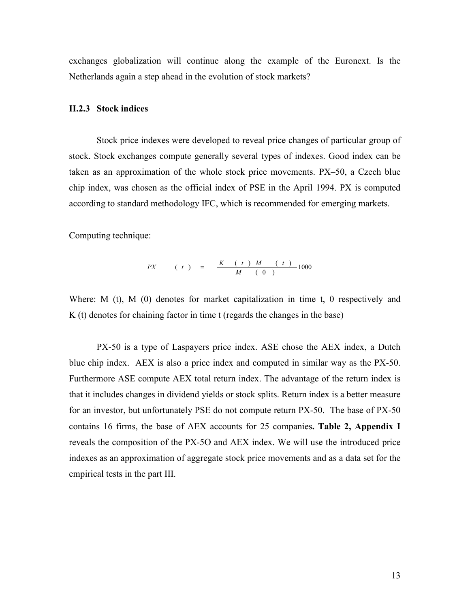exchanges globalization will continue along the example of the Euronext. Is the Netherlands again a step ahead in the evolution of stock markets?

#### **II.2.3 Stock indices**

Stock price indexes were developed to reveal price changes of particular group of stock. Stock exchanges compute generally several types of indexes. Good index can be taken as an approximation of the whole stock price movements. PX–50, a Czech blue chip index, was chosen as the official index of PSE in the April 1994. PX is computed according to standard methodology IFC, which is recommended for emerging markets.

Computing technique:

$$
PX \qquad (t) = \frac{K(t) M(t)}{M(0)} 1000
$$

Where: M (t), M (0) denotes for market capitalization in time t, 0 respectively and K (t) denotes for chaining factor in time t (regards the changes in the base)

PX-50 is a type of Laspayers price index. ASE chose the AEX index, a Dutch blue chip index. AEX is also a price index and computed in similar way as the PX-50. Furthermore ASE compute AEX total return index. The advantage of the return index is that it includes changes in dividend yields or stock splits. Return index is a better measure for an investor, but unfortunately PSE do not compute return PX-50. The base of PX-50 contains 16 firms, the base of AEX accounts for 25 companies**. Table 2, Appendix I** reveals the composition of the PX-5O and AEX index. We will use the introduced price indexes as an approximation of aggregate stock price movements and as a data set for the empirical tests in the part III.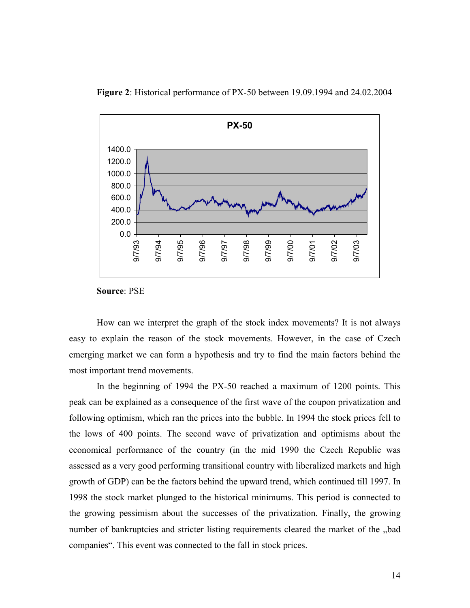

**Figure 2**: Historical performance of PX-50 between 19.09.1994 and 24.02.2004

**Source**: PSE

How can we interpret the graph of the stock index movements? It is not always easy to explain the reason of the stock movements. However, in the case of Czech emerging market we can form a hypothesis and try to find the main factors behind the most important trend movements.

In the beginning of 1994 the PX-50 reached a maximum of 1200 points. This peak can be explained as a consequence of the first wave of the coupon privatization and following optimism, which ran the prices into the bubble. In 1994 the stock prices fell to the lows of 400 points. The second wave of privatization and optimisms about the economical performance of the country (in the mid 1990 the Czech Republic was assessed as a very good performing transitional country with liberalized markets and high growth of GDP) can be the factors behind the upward trend, which continued till 1997. In 1998 the stock market plunged to the historical minimums. This period is connected to the growing pessimism about the successes of the privatization. Finally, the growing number of bankruptcies and stricter listing requirements cleared the market of the "bad companies". This event was connected to the fall in stock prices.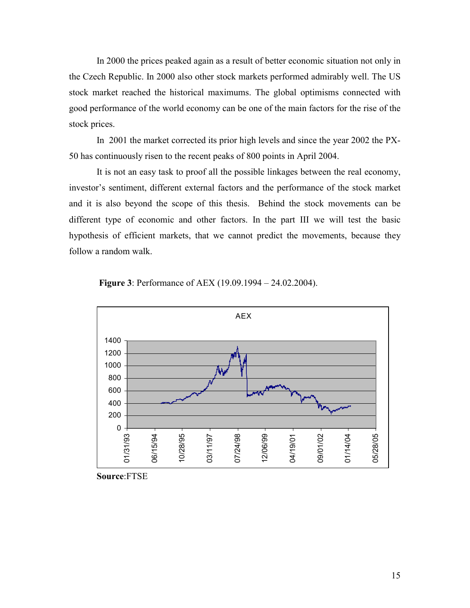In 2000 the prices peaked again as a result of better economic situation not only in the Czech Republic. In 2000 also other stock markets performed admirably well. The US stock market reached the historical maximums. The global optimisms connected with good performance of the world economy can be one of the main factors for the rise of the stock prices.

In 2001 the market corrected its prior high levels and since the year 2002 the PX-50 has continuously risen to the recent peaks of 800 points in April 2004.

It is not an easy task to proof all the possible linkages between the real economy, investor's sentiment, different external factors and the performance of the stock market and it is also beyond the scope of this thesis. Behind the stock movements can be different type of economic and other factors. In the part III we will test the basic hypothesis of efficient markets, that we cannot predict the movements, because they follow a random walk.





**Source**:FTSE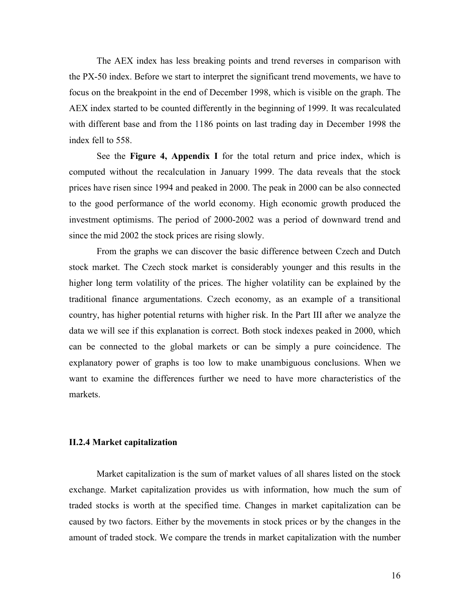The AEX index has less breaking points and trend reverses in comparison with the PX-50 index. Before we start to interpret the significant trend movements, we have to focus on the breakpoint in the end of December 1998, which is visible on the graph. The AEX index started to be counted differently in the beginning of 1999. It was recalculated with different base and from the 1186 points on last trading day in December 1998 the index fell to 558.

See the **Figure 4, Appendix I** for the total return and price index, which is computed without the recalculation in January 1999. The data reveals that the stock prices have risen since 1994 and peaked in 2000. The peak in 2000 can be also connected to the good performance of the world economy. High economic growth produced the investment optimisms. The period of 2000-2002 was a period of downward trend and since the mid 2002 the stock prices are rising slowly.

From the graphs we can discover the basic difference between Czech and Dutch stock market. The Czech stock market is considerably younger and this results in the higher long term volatility of the prices. The higher volatility can be explained by the traditional finance argumentations. Czech economy, as an example of a transitional country, has higher potential returns with higher risk. In the Part III after we analyze the data we will see if this explanation is correct. Both stock indexes peaked in 2000, which can be connected to the global markets or can be simply a pure coincidence. The explanatory power of graphs is too low to make unambiguous conclusions. When we want to examine the differences further we need to have more characteristics of the markets.

#### **II.2.4 Market capitalization**

Market capitalization is the sum of market values of all shares listed on the stock exchange. Market capitalization provides us with information, how much the sum of traded stocks is worth at the specified time. Changes in market capitalization can be caused by two factors. Either by the movements in stock prices or by the changes in the amount of traded stock. We compare the trends in market capitalization with the number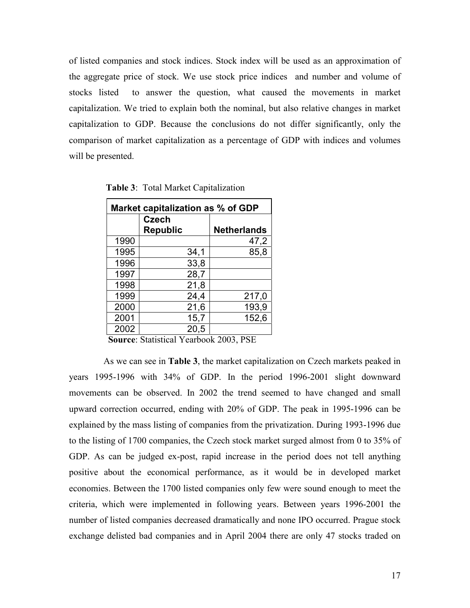of listed companies and stock indices. Stock index will be used as an approximation of the aggregate price of stock. We use stock price indices and number and volume of stocks listed to answer the question, what caused the movements in market capitalization. We tried to explain both the nominal, but also relative changes in market capitalization to GDP. Because the conclusions do not differ significantly, only the comparison of market capitalization as a percentage of GDP with indices and volumes will be presented.

| Market capitalization as % of GDP |                                 |                    |  |  |  |
|-----------------------------------|---------------------------------|--------------------|--|--|--|
|                                   | <b>Czech</b><br><b>Republic</b> | <b>Netherlands</b> |  |  |  |
| 1990                              |                                 | 47,2               |  |  |  |
| 1995                              | 34,1                            | 85,8               |  |  |  |
| 1996                              | 33,8                            |                    |  |  |  |
| 1997                              | 28,7                            |                    |  |  |  |
| 1998                              | 21,8                            |                    |  |  |  |
| 1999                              | 24,4                            | 217,0              |  |  |  |
| 2000                              | 21,6                            | 193,9              |  |  |  |
| 2001                              | 15,7                            | 152,6              |  |  |  |
| 2002                              | 20,5                            |                    |  |  |  |

 **Table 3**: Total Market Capitalization

 **Source**: Statistical Yearbook 2003, PSE

 As we can see in **Table 3**, the market capitalization on Czech markets peaked in years 1995-1996 with 34% of GDP. In the period 1996-2001 slight downward movements can be observed. In 2002 the trend seemed to have changed and small upward correction occurred, ending with 20% of GDP. The peak in 1995-1996 can be explained by the mass listing of companies from the privatization. During 1993-1996 due to the listing of 1700 companies, the Czech stock market surged almost from 0 to 35% of GDP. As can be judged ex-post, rapid increase in the period does not tell anything positive about the economical performance, as it would be in developed market economies. Between the 1700 listed companies only few were sound enough to meet the criteria, which were implemented in following years. Between years 1996-2001 the number of listed companies decreased dramatically and none IPO occurred. Prague stock exchange delisted bad companies and in April 2004 there are only 47 stocks traded on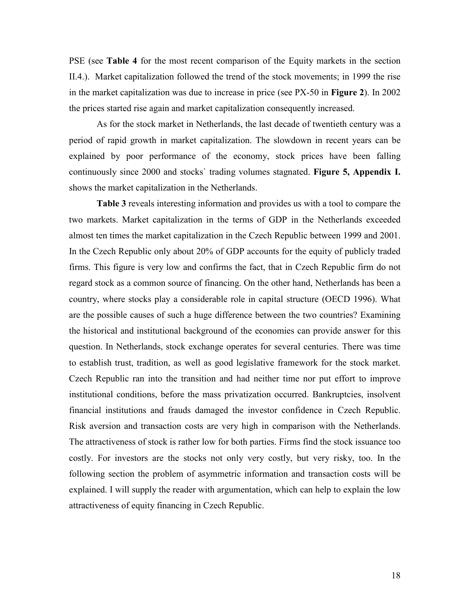PSE (see **Table 4** for the most recent comparison of the Equity markets in the section II.4.). Market capitalization followed the trend of the stock movements; in 1999 the rise in the market capitalization was due to increase in price (see PX-50 in **Figure 2**). In 2002 the prices started rise again and market capitalization consequently increased.

As for the stock market in Netherlands, the last decade of twentieth century was a period of rapid growth in market capitalization. The slowdown in recent years can be explained by poor performance of the economy, stock prices have been falling continuously since 2000 and stocks` trading volumes stagnated. **Figure 5, Appendix I.** shows the market capitalization in the Netherlands.

**Table 3** reveals interesting information and provides us with a tool to compare the two markets. Market capitalization in the terms of GDP in the Netherlands exceeded almost ten times the market capitalization in the Czech Republic between 1999 and 2001. In the Czech Republic only about 20% of GDP accounts for the equity of publicly traded firms. This figure is very low and confirms the fact, that in Czech Republic firm do not regard stock as a common source of financing. On the other hand, Netherlands has been a country, where stocks play a considerable role in capital structure (OECD 1996). What are the possible causes of such a huge difference between the two countries? Examining the historical and institutional background of the economies can provide answer for this question. In Netherlands, stock exchange operates for several centuries. There was time to establish trust, tradition, as well as good legislative framework for the stock market. Czech Republic ran into the transition and had neither time nor put effort to improve institutional conditions, before the mass privatization occurred. Bankruptcies, insolvent financial institutions and frauds damaged the investor confidence in Czech Republic. Risk aversion and transaction costs are very high in comparison with the Netherlands. The attractiveness of stock is rather low for both parties. Firms find the stock issuance too costly. For investors are the stocks not only very costly, but very risky, too. In the following section the problem of asymmetric information and transaction costs will be explained. I will supply the reader with argumentation, which can help to explain the low attractiveness of equity financing in Czech Republic.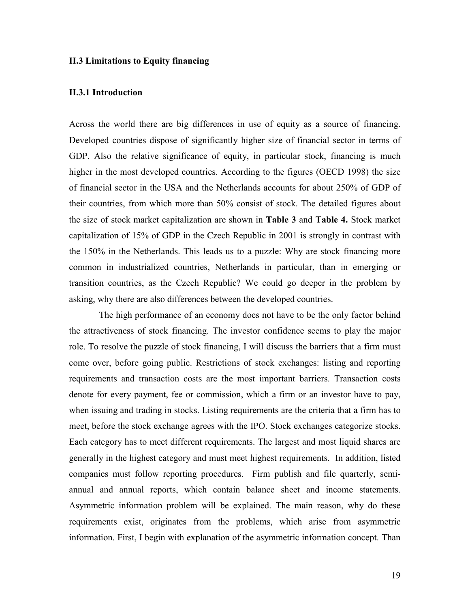#### **II.3 Limitations to Equity financing**

#### **II.3.1 Introduction**

Across the world there are big differences in use of equity as a source of financing. Developed countries dispose of significantly higher size of financial sector in terms of GDP. Also the relative significance of equity, in particular stock, financing is much higher in the most developed countries. According to the figures (OECD 1998) the size of financial sector in the USA and the Netherlands accounts for about 250% of GDP of their countries, from which more than 50% consist of stock. The detailed figures about the size of stock market capitalization are shown in **Table 3** and **Table 4.** Stock market capitalization of 15% of GDP in the Czech Republic in 2001 is strongly in contrast with the 150% in the Netherlands. This leads us to a puzzle: Why are stock financing more common in industrialized countries, Netherlands in particular, than in emerging or transition countries, as the Czech Republic? We could go deeper in the problem by asking, why there are also differences between the developed countries.

 The high performance of an economy does not have to be the only factor behind the attractiveness of stock financing. The investor confidence seems to play the major role. To resolve the puzzle of stock financing, I will discuss the barriers that a firm must come over, before going public. Restrictions of stock exchanges: listing and reporting requirements and transaction costs are the most important barriers. Transaction costs denote for every payment, fee or commission, which a firm or an investor have to pay, when issuing and trading in stocks. Listing requirements are the criteria that a firm has to meet, before the stock exchange agrees with the IPO. Stock exchanges categorize stocks. Each category has to meet different requirements. The largest and most liquid shares are generally in the highest category and must meet highest requirements. In addition, listed companies must follow reporting procedures. Firm publish and file quarterly, semiannual and annual reports, which contain balance sheet and income statements. Asymmetric information problem will be explained. The main reason, why do these requirements exist, originates from the problems, which arise from asymmetric information. First, I begin with explanation of the asymmetric information concept. Than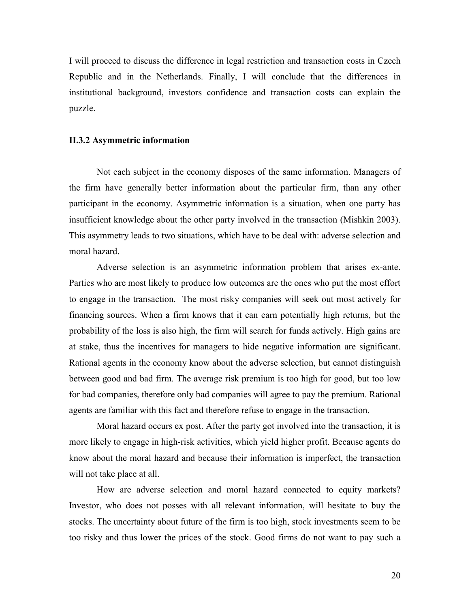I will proceed to discuss the difference in legal restriction and transaction costs in Czech Republic and in the Netherlands. Finally, I will conclude that the differences in institutional background, investors confidence and transaction costs can explain the puzzle.

#### **II.3.2 Asymmetric information**

Not each subject in the economy disposes of the same information. Managers of the firm have generally better information about the particular firm, than any other participant in the economy. Asymmetric information is a situation, when one party has insufficient knowledge about the other party involved in the transaction (Mishkin 2003). This asymmetry leads to two situations, which have to be deal with: adverse selection and moral hazard.

Adverse selection is an asymmetric information problem that arises ex-ante. Parties who are most likely to produce low outcomes are the ones who put the most effort to engage in the transaction. The most risky companies will seek out most actively for financing sources. When a firm knows that it can earn potentially high returns, but the probability of the loss is also high, the firm will search for funds actively. High gains are at stake, thus the incentives for managers to hide negative information are significant. Rational agents in the economy know about the adverse selection, but cannot distinguish between good and bad firm. The average risk premium is too high for good, but too low for bad companies, therefore only bad companies will agree to pay the premium. Rational agents are familiar with this fact and therefore refuse to engage in the transaction.

Moral hazard occurs ex post. After the party got involved into the transaction, it is more likely to engage in high-risk activities, which yield higher profit. Because agents do know about the moral hazard and because their information is imperfect, the transaction will not take place at all.

How are adverse selection and moral hazard connected to equity markets? Investor, who does not posses with all relevant information, will hesitate to buy the stocks. The uncertainty about future of the firm is too high, stock investments seem to be too risky and thus lower the prices of the stock. Good firms do not want to pay such a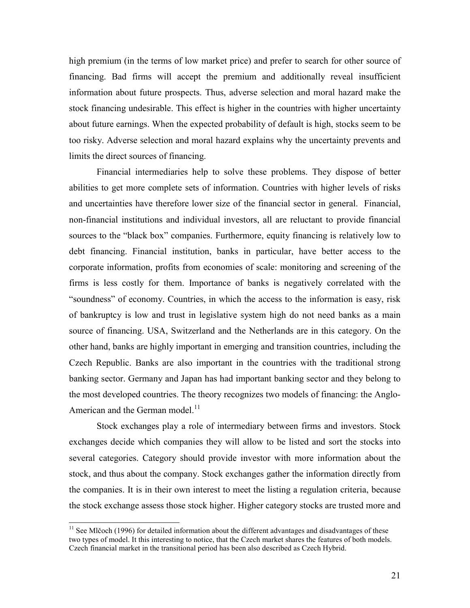high premium (in the terms of low market price) and prefer to search for other source of financing. Bad firms will accept the premium and additionally reveal insufficient information about future prospects. Thus, adverse selection and moral hazard make the stock financing undesirable. This effect is higher in the countries with higher uncertainty about future earnings. When the expected probability of default is high, stocks seem to be too risky. Adverse selection and moral hazard explains why the uncertainty prevents and limits the direct sources of financing.

Financial intermediaries help to solve these problems. They dispose of better abilities to get more complete sets of information. Countries with higher levels of risks and uncertainties have therefore lower size of the financial sector in general. Financial, non-financial institutions and individual investors, all are reluctant to provide financial sources to the "black box" companies. Furthermore, equity financing is relatively low to debt financing. Financial institution, banks in particular, have better access to the corporate information, profits from economies of scale: monitoring and screening of the firms is less costly for them. Importance of banks is negatively correlated with the "soundness" of economy. Countries, in which the access to the information is easy, risk of bankruptcy is low and trust in legislative system high do not need banks as a main source of financing. USA, Switzerland and the Netherlands are in this category. On the other hand, banks are highly important in emerging and transition countries, including the Czech Republic. Banks are also important in the countries with the traditional strong banking sector. Germany and Japan has had important banking sector and they belong to the most developed countries. The theory recognizes two models of financing: the Anglo-American and the German model. $^{11}$  $^{11}$  $^{11}$ 

Stock exchanges play a role of intermediary between firms and investors. Stock exchanges decide which companies they will allow to be listed and sort the stocks into several categories. Category should provide investor with more information about the stock, and thus about the company. Stock exchanges gather the information directly from the companies. It is in their own interest to meet the listing a regulation criteria, because the stock exchange assess those stock higher. Higher category stocks are trusted more and

 $\overline{a}$ 

<span id="page-23-0"></span> $11$  See Mlčoch (1996) for detailed information about the different advantages and disadvantages of these two types of model. It this interesting to notice, that the Czech market shares the features of both models. Czech financial market in the transitional period has been also described as Czech Hybrid.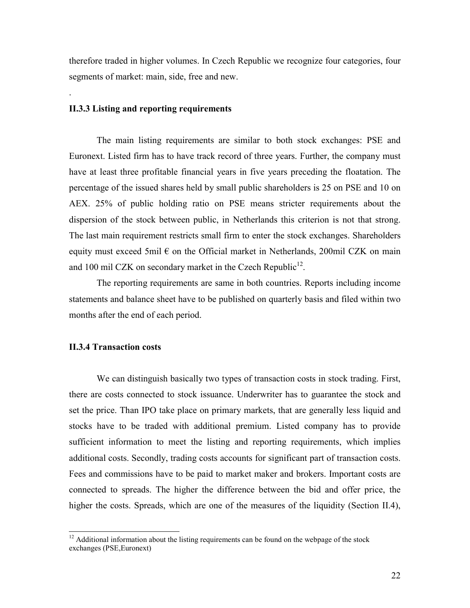therefore traded in higher volumes. In Czech Republic we recognize four categories, four segments of market: main, side, free and new.

#### **II.3.3 Listing and reporting requirements**

.

The main listing requirements are similar to both stock exchanges: PSE and Euronext. Listed firm has to have track record of three years. Further, the company must have at least three profitable financial years in five years preceding the floatation. The percentage of the issued shares held by small public shareholders is 25 on PSE and 10 on AEX. 25% of public holding ratio on PSE means stricter requirements about the dispersion of the stock between public, in Netherlands this criterion is not that strong. The last main requirement restricts small firm to enter the stock exchanges. Shareholders equity must exceed 5mil  $\epsilon$  on the Official market in Netherlands, 200mil CZK on main and 100 mil CZK on secondary market in the Czech Republic<sup>12</sup>.

The reporting requirements are same in both countries. Reports including income statements and balance sheet have to be published on quarterly basis and filed within two months after the end of each period.

#### **II.3.4 Transaction costs**

 $\overline{a}$ 

We can distinguish basically two types of transaction costs in stock trading. First, there are costs connected to stock issuance. Underwriter has to guarantee the stock and set the price. Than IPO take place on primary markets, that are generally less liquid and stocks have to be traded with additional premium. Listed company has to provide sufficient information to meet the listing and reporting requirements, which implies additional costs. Secondly, trading costs accounts for significant part of transaction costs. Fees and commissions have to be paid to market maker and brokers. Important costs are connected to spreads. The higher the difference between the bid and offer price, the higher the costs. Spreads, which are one of the measures of the liquidity (Section II.4),

<span id="page-24-0"></span> $12$  Additional information about the listing requirements can be found on the webpage of the stock exchanges (PSE,Euronext)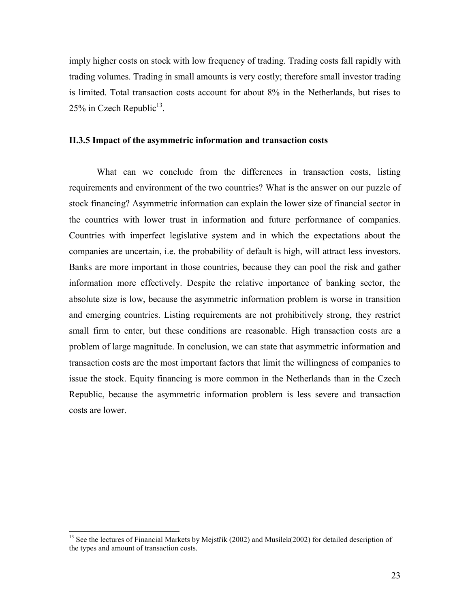imply higher costs on stock with low frequency of trading. Trading costs fall rapidly with trading volumes. Trading in small amounts is very costly; therefore small investor trading is limited. Total transaction costs account for about 8% in the Netherlands, but rises to 25% in Czech Republic<sup>13</sup>.

#### **II.3.5 Impact of the asymmetric information and transaction costs**

What can we conclude from the differences in transaction costs, listing requirements and environment of the two countries? What is the answer on our puzzle of stock financing? Asymmetric information can explain the lower size of financial sector in the countries with lower trust in information and future performance of companies. Countries with imperfect legislative system and in which the expectations about the companies are uncertain, i.e. the probability of default is high, will attract less investors. Banks are more important in those countries, because they can pool the risk and gather information more effectively. Despite the relative importance of banking sector, the absolute size is low, because the asymmetric information problem is worse in transition and emerging countries. Listing requirements are not prohibitively strong, they restrict small firm to enter, but these conditions are reasonable. High transaction costs are a problem of large magnitude. In conclusion, we can state that asymmetric information and transaction costs are the most important factors that limit the willingness of companies to issue the stock. Equity financing is more common in the Netherlands than in the Czech Republic, because the asymmetric information problem is less severe and transaction costs are lower.

 $\overline{a}$ 

<span id="page-25-0"></span><sup>&</sup>lt;sup>13</sup> See the lectures of Financial Markets by Mejstřík (2002) and Musílek(2002) for detailed description of the types and amount of transaction costs.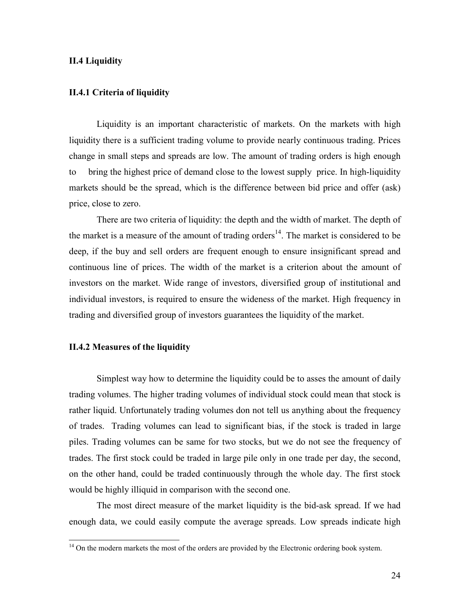#### **II.4 Liquidity**

#### **II.4.1 Criteria of liquidity**

Liquidity is an important characteristic of markets. On the markets with high liquidity there is a sufficient trading volume to provide nearly continuous trading. Prices change in small steps and spreads are low. The amount of trading orders is high enough to bring the highest price of demand close to the lowest supply price. In high-liquidity markets should be the spread, which is the difference between bid price and offer (ask) price, close to zero.

There are two criteria of liquidity: the depth and the width of market. The depth of the market is a measure of the amount of trading orders<sup>14</sup>. The market is considered to be deep, if the buy and sell orders are frequent enough to ensure insignificant spread and continuous line of prices. The width of the market is a criterion about the amount of investors on the market. Wide range of investors, diversified group of institutional and individual investors, is required to ensure the wideness of the market. High frequency in trading and diversified group of investors guarantees the liquidity of the market.

#### **II.4.2 Measures of the liquidity**

 $\overline{a}$ 

Simplest way how to determine the liquidity could be to asses the amount of daily trading volumes. The higher trading volumes of individual stock could mean that stock is rather liquid. Unfortunately trading volumes don not tell us anything about the frequency of trades. Trading volumes can lead to significant bias, if the stock is traded in large piles. Trading volumes can be same for two stocks, but we do not see the frequency of trades. The first stock could be traded in large pile only in one trade per day, the second, on the other hand, could be traded continuously through the whole day. The first stock would be highly illiquid in comparison with the second one.

The most direct measure of the market liquidity is the bid-ask spread. If we had enough data, we could easily compute the average spreads. Low spreads indicate high

<span id="page-26-0"></span> $14$  On the modern markets the most of the orders are provided by the Electronic ordering book system.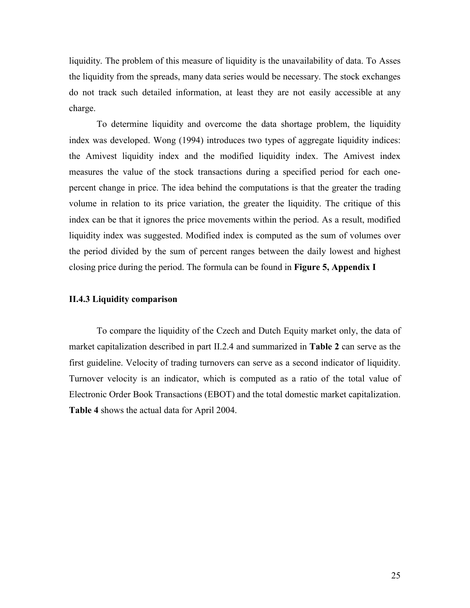liquidity. The problem of this measure of liquidity is the unavailability of data. To Asses the liquidity from the spreads, many data series would be necessary. The stock exchanges do not track such detailed information, at least they are not easily accessible at any charge.

To determine liquidity and overcome the data shortage problem, the liquidity index was developed. Wong (1994) introduces two types of aggregate liquidity indices: the Amivest liquidity index and the modified liquidity index. The Amivest index measures the value of the stock transactions during a specified period for each onepercent change in price. The idea behind the computations is that the greater the trading volume in relation to its price variation, the greater the liquidity. The critique of this index can be that it ignores the price movements within the period. As a result, modified liquidity index was suggested. Modified index is computed as the sum of volumes over the period divided by the sum of percent ranges between the daily lowest and highest closing price during the period. The formula can be found in **Figure 5, Appendix I**

#### **II.4.3 Liquidity comparison**

To compare the liquidity of the Czech and Dutch Equity market only, the data of market capitalization described in part II.2.4 and summarized in **Table 2** can serve as the first guideline. Velocity of trading turnovers can serve as a second indicator of liquidity. Turnover velocity is an indicator, which is computed as a ratio of the total value of Electronic Order Book Transactions (EBOT) and the total domestic market capitalization. **Table 4** shows the actual data for April 2004.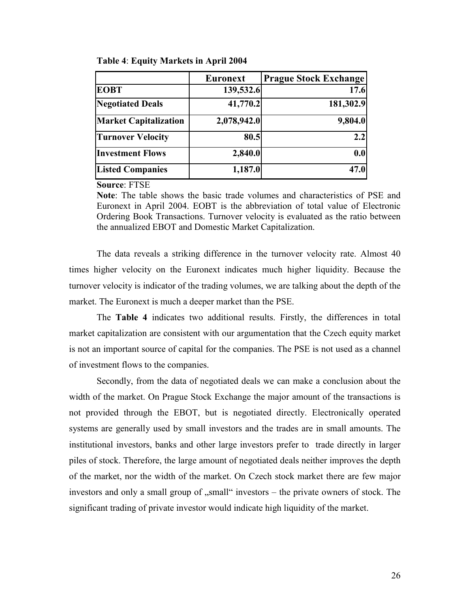|                              | <b>Euronext</b> | <b>Prague Stock Exchange</b> |
|------------------------------|-----------------|------------------------------|
| <b>EOBT</b>                  | 139,532.6       | 17.6                         |
| <b>Negotiated Deals</b>      | 41,770.2        | 181,302.9                    |
| <b>Market Capitalization</b> | 2,078,942.0     | 9,804.0                      |
| <b>Turnover Velocity</b>     | 80.5            | 2.2                          |
| <b>Investment Flows</b>      | 2,840.0         | 0.0                          |
| <b>Listed Companies</b>      | 1,187.0         | 47.0                         |

**Table 4**: **Equity Markets in April 2004**

**Source**: FTSE

**Note**: The table shows the basic trade volumes and characteristics of PSE and Euronext in April 2004. EOBT is the abbreviation of total value of Electronic Ordering Book Transactions. Turnover velocity is evaluated as the ratio between the annualized EBOT and Domestic Market Capitalization.

The data reveals a striking difference in the turnover velocity rate. Almost 40 times higher velocity on the Euronext indicates much higher liquidity. Because the turnover velocity is indicator of the trading volumes, we are talking about the depth of the market. The Euronext is much a deeper market than the PSE.

The **Table 4** indicates two additional results. Firstly, the differences in total market capitalization are consistent with our argumentation that the Czech equity market is not an important source of capital for the companies. The PSE is not used as a channel of investment flows to the companies.

Secondly, from the data of negotiated deals we can make a conclusion about the width of the market. On Prague Stock Exchange the major amount of the transactions is not provided through the EBOT, but is negotiated directly. Electronically operated systems are generally used by small investors and the trades are in small amounts. The institutional investors, banks and other large investors prefer to trade directly in larger piles of stock. Therefore, the large amount of negotiated deals neither improves the depth of the market, nor the width of the market. On Czech stock market there are few major investors and only a small group of "small" investors – the private owners of stock. The significant trading of private investor would indicate high liquidity of the market.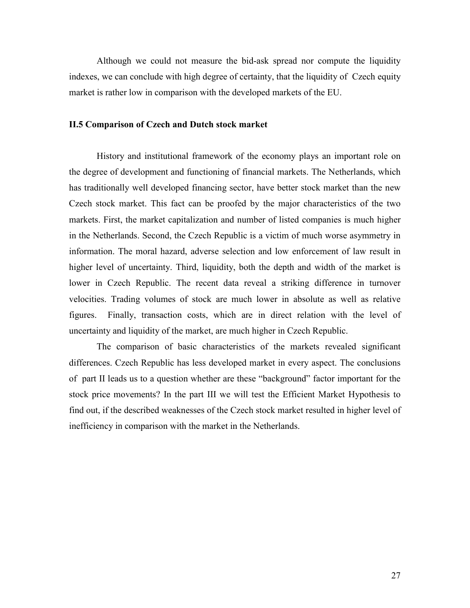Although we could not measure the bid-ask spread nor compute the liquidity indexes, we can conclude with high degree of certainty, that the liquidity of Czech equity market is rather low in comparison with the developed markets of the EU.

#### **II.5 Comparison of Czech and Dutch stock market**

History and institutional framework of the economy plays an important role on the degree of development and functioning of financial markets. The Netherlands, which has traditionally well developed financing sector, have better stock market than the new Czech stock market. This fact can be proofed by the major characteristics of the two markets. First, the market capitalization and number of listed companies is much higher in the Netherlands. Second, the Czech Republic is a victim of much worse asymmetry in information. The moral hazard, adverse selection and low enforcement of law result in higher level of uncertainty. Third, liquidity, both the depth and width of the market is lower in Czech Republic. The recent data reveal a striking difference in turnover velocities. Trading volumes of stock are much lower in absolute as well as relative figures. Finally, transaction costs, which are in direct relation with the level of uncertainty and liquidity of the market, are much higher in Czech Republic.

The comparison of basic characteristics of the markets revealed significant differences. Czech Republic has less developed market in every aspect. The conclusions of part II leads us to a question whether are these "background" factor important for the stock price movements? In the part III we will test the Efficient Market Hypothesis to find out, if the described weaknesses of the Czech stock market resulted in higher level of inefficiency in comparison with the market in the Netherlands.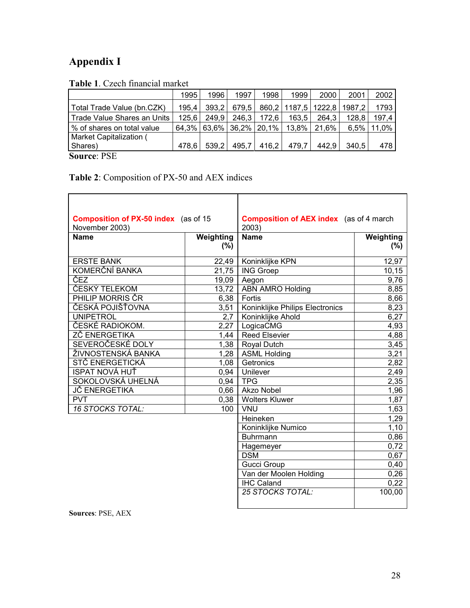# **Appendix I**

|  |  | Table 1. Czech financial market |  |
|--|--|---------------------------------|--|
|--|--|---------------------------------|--|

| 1995  | 1996  | 1997  | 1998           | 1999                    | 2000            | 2001           | 2002                |
|-------|-------|-------|----------------|-------------------------|-----------------|----------------|---------------------|
| 195.4 |       |       |                |                         |                 | 1987,2         | 1793                |
| 125.6 | 249,9 |       | 172.6          |                         | 264.3           | 128.8          | 197,4               |
|       |       |       |                |                         | 21,6%           | 6.5%           | 11,0%               |
|       |       |       |                |                         |                 |                |                     |
| 478.6 | 539.2 | 495,7 |                | 479,7                   | 442.9           | 340,5          | 478                 |
|       |       | 64,3% | 393.2<br>63,6% | 679.5<br>246.3<br>36,2% | 20,1% <br>416,2 | 163.5<br>13,8% | 860,2 1187,5 1222,8 |

**Source**: PSE

|  | Table 2: Composition of PX-50 and AEX indices |  |  |  |
|--|-----------------------------------------------|--|--|--|
|--|-----------------------------------------------|--|--|--|

| <b>Composition of PX-50 index</b> (as of 15 |                  | <b>Composition of AEX index</b> (as of 4 march) |                  |  |
|---------------------------------------------|------------------|-------------------------------------------------|------------------|--|
| November 2003)                              |                  | 2003)                                           |                  |  |
| <b>Name</b>                                 | Weighting<br>(%) | <b>Name</b>                                     | Weighting<br>(%) |  |
| <b>ERSTE BANK</b>                           | 22,49            | Koninklijke KPN                                 | 12,97            |  |
| KOMERČNÍ BANKA                              |                  | 21,75   ING Groep                               | 10, 15           |  |
| ČEZ                                         | 19,09            | Aegon                                           | 9,76             |  |
| ČESKÝ TELEKOM                               |                  | 13,72   ABN AMRO Holding                        | 8,85             |  |
| PHILIP MORRIS ČR                            | 6,38             | Fortis                                          | 8,66             |  |
| ČESKÁ POJIŠŤOVNA                            | 3,51             | Koninklijke Philips Electronics                 | 8,23             |  |
| <b>UNIPETROL</b>                            | 2,7              | Koninklijke Ahold                               | 6,27             |  |
| ČESKÉ RADIOKOM.                             |                  | 2,27   LogicaCMG                                | 4,93             |  |
| ZČ ENERGETIKA                               |                  | 1,44   Reed Elsevier                            | 4,88             |  |
| SEVEROČESKÉ DOLY                            |                  | 1,38   Royal Dutch                              | 3,45             |  |
| ŽIVNOSTENSKÁ BANKA                          | 1,28             | <b>ASML Holding</b>                             | 3,21             |  |
| STČ ENERGETICKÁ                             | 1,08             | Getronics                                       | 2,82             |  |
| ISPAT NOVÁ HUŤ                              |                  | 0,94   Unilever                                 | 2,49             |  |
| SOKOLOVSKÁ UHELNÁ                           | 0,94             | <b>TPG</b>                                      | 2,35             |  |
| <b>JČ ENERGETIKA</b>                        | 0,66             | Akzo Nobel                                      | 1,96             |  |
| <b>PVT</b>                                  | 0,38             | <b>Wolters Kluwer</b>                           | 1,87             |  |
| <b>16 STOCKS TOTAL:</b>                     | 100              | <b>VNU</b>                                      | 1,63             |  |
|                                             |                  | Heineken                                        | 1,29             |  |
|                                             |                  | Koninklijke Numico                              | 1,10             |  |
|                                             |                  | <b>Buhrmann</b>                                 | 0,86             |  |
|                                             |                  | Hagemeyer                                       | 0.72             |  |
|                                             |                  | <b>DSM</b>                                      | 0,67             |  |
|                                             |                  | Gucci Group                                     | 0,40             |  |
|                                             |                  | Van der Moolen Holding                          | 0,26             |  |
|                                             |                  | <b>IHC Caland</b>                               | 0,22             |  |
|                                             |                  | 25 STOCKS TOTAL:                                | 100,00           |  |

**Sources**: PSE, AEX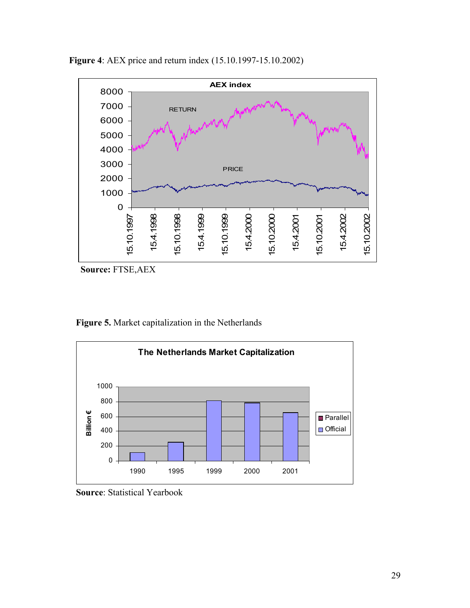

**Figure 4**: AEX price and return index (15.10.1997-15.10.2002)

**Source:** FTSE,AEX

 **Figure 5.** Market capitalization in the Netherlands



 **Source**: Statistical Yearbook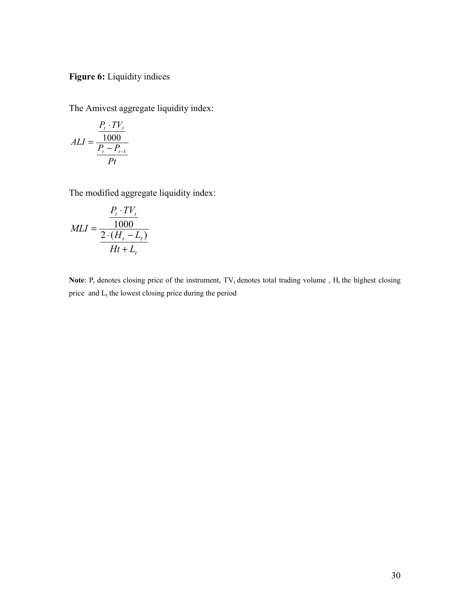## **Figure 6:** Liquidity indices

The Amivest aggregate liquidity index:

$$
ALI = \frac{\frac{P_t \cdot TV_t}{1000}}{\frac{P_t - P_{t-1}}{Pt}}
$$

The modified aggregate liquidity index:

$$
MLI = \frac{\frac{P_t \cdot TV_t}{1000}}{\frac{2 \cdot (H_t - L_t)}{Ht + L_t}}
$$

**Note**:  $P_t$  denotes closing price of the instrument,  $TV_t$  denotes total trading volume,  $H_t$  the highest closing price and  $L_t$  the lowest closing price during the period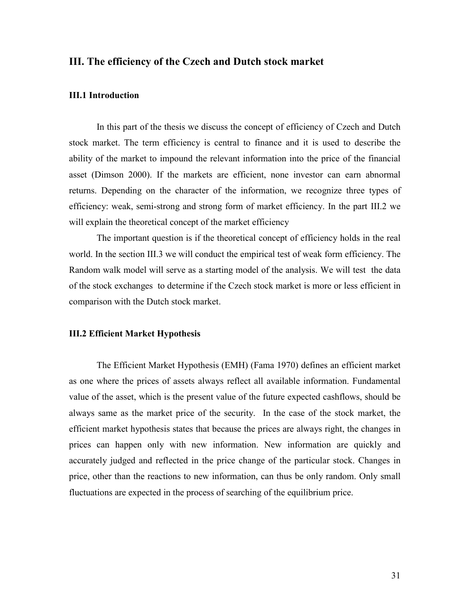## **III. The efficiency of the Czech and Dutch stock market**

#### **III.1 Introduction**

In this part of the thesis we discuss the concept of efficiency of Czech and Dutch stock market. The term efficiency is central to finance and it is used to describe the ability of the market to impound the relevant information into the price of the financial asset (Dimson 2000). If the markets are efficient, none investor can earn abnormal returns. Depending on the character of the information, we recognize three types of efficiency: weak, semi-strong and strong form of market efficiency. In the part III.2 we will explain the theoretical concept of the market efficiency

The important question is if the theoretical concept of efficiency holds in the real world. In the section III.3 we will conduct the empirical test of weak form efficiency. The Random walk model will serve as a starting model of the analysis. We will test the data of the stock exchanges to determine if the Czech stock market is more or less efficient in comparison with the Dutch stock market.

#### **III.2 Efficient Market Hypothesis**

The Efficient Market Hypothesis (EMH) (Fama 1970) defines an efficient market as one where the prices of assets always reflect all available information. Fundamental value of the asset, which is the present value of the future expected cashflows, should be always same as the market price of the security. In the case of the stock market, the efficient market hypothesis states that because the prices are always right, the changes in prices can happen only with new information. New information are quickly and accurately judged and reflected in the price change of the particular stock. Changes in price, other than the reactions to new information, can thus be only random. Only small fluctuations are expected in the process of searching of the equilibrium price.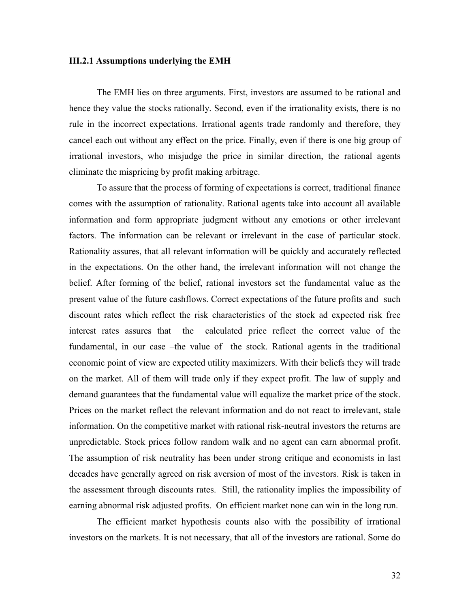#### **III.2.1 Assumptions underlying the EMH**

The EMH lies on three arguments. First, investors are assumed to be rational and hence they value the stocks rationally. Second, even if the irrationality exists, there is no rule in the incorrect expectations. Irrational agents trade randomly and therefore, they cancel each out without any effect on the price. Finally, even if there is one big group of irrational investors, who misjudge the price in similar direction, the rational agents eliminate the mispricing by profit making arbitrage.

To assure that the process of forming of expectations is correct, traditional finance comes with the assumption of rationality. Rational agents take into account all available information and form appropriate judgment without any emotions or other irrelevant factors. The information can be relevant or irrelevant in the case of particular stock. Rationality assures, that all relevant information will be quickly and accurately reflected in the expectations. On the other hand, the irrelevant information will not change the belief. After forming of the belief, rational investors set the fundamental value as the present value of the future cashflows. Correct expectations of the future profits and such discount rates which reflect the risk characteristics of the stock ad expected risk free interest rates assures that the calculated price reflect the correct value of the fundamental, in our case –the value of the stock. Rational agents in the traditional economic point of view are expected utility maximizers. With their beliefs they will trade on the market. All of them will trade only if they expect profit. The law of supply and demand guarantees that the fundamental value will equalize the market price of the stock. Prices on the market reflect the relevant information and do not react to irrelevant, stale information. On the competitive market with rational risk-neutral investors the returns are unpredictable. Stock prices follow random walk and no agent can earn abnormal profit. The assumption of risk neutrality has been under strong critique and economists in last decades have generally agreed on risk aversion of most of the investors. Risk is taken in the assessment through discounts rates. Still, the rationality implies the impossibility of earning abnormal risk adjusted profits. On efficient market none can win in the long run.

The efficient market hypothesis counts also with the possibility of irrational investors on the markets. It is not necessary, that all of the investors are rational. Some do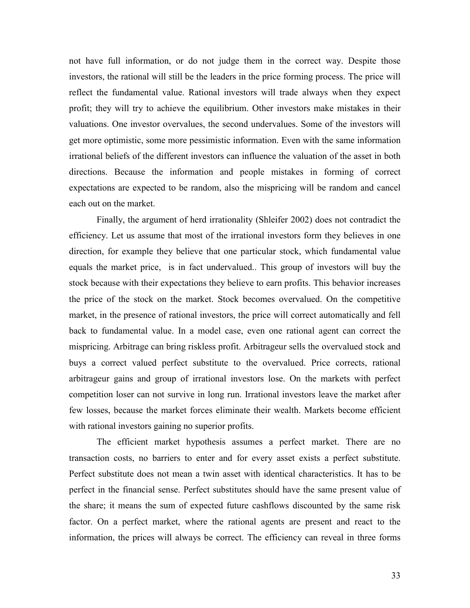not have full information, or do not judge them in the correct way. Despite those investors, the rational will still be the leaders in the price forming process. The price will reflect the fundamental value. Rational investors will trade always when they expect profit; they will try to achieve the equilibrium. Other investors make mistakes in their valuations. One investor overvalues, the second undervalues. Some of the investors will get more optimistic, some more pessimistic information. Even with the same information irrational beliefs of the different investors can influence the valuation of the asset in both directions. Because the information and people mistakes in forming of correct expectations are expected to be random, also the mispricing will be random and cancel each out on the market.

Finally, the argument of herd irrationality (Shleifer 2002) does not contradict the efficiency. Let us assume that most of the irrational investors form they believes in one direction, for example they believe that one particular stock, which fundamental value equals the market price, is in fact undervalued.. This group of investors will buy the stock because with their expectations they believe to earn profits. This behavior increases the price of the stock on the market. Stock becomes overvalued. On the competitive market, in the presence of rational investors, the price will correct automatically and fell back to fundamental value. In a model case, even one rational agent can correct the mispricing. Arbitrage can bring riskless profit. Arbitrageur sells the overvalued stock and buys a correct valued perfect substitute to the overvalued. Price corrects, rational arbitrageur gains and group of irrational investors lose. On the markets with perfect competition loser can not survive in long run. Irrational investors leave the market after few losses, because the market forces eliminate their wealth. Markets become efficient with rational investors gaining no superior profits.

The efficient market hypothesis assumes a perfect market. There are no transaction costs, no barriers to enter and for every asset exists a perfect substitute. Perfect substitute does not mean a twin asset with identical characteristics. It has to be perfect in the financial sense. Perfect substitutes should have the same present value of the share; it means the sum of expected future cashflows discounted by the same risk factor. On a perfect market, where the rational agents are present and react to the information, the prices will always be correct. The efficiency can reveal in three forms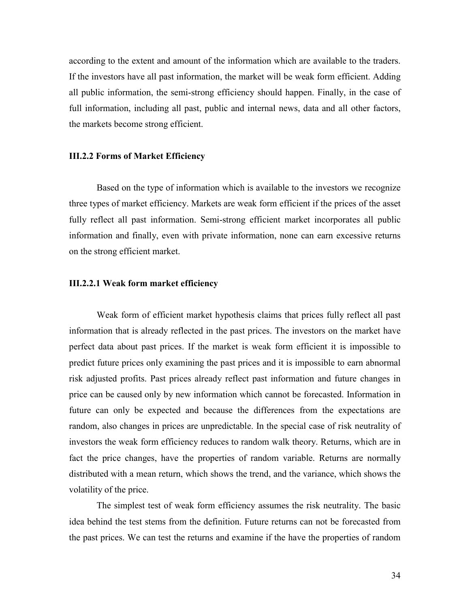according to the extent and amount of the information which are available to the traders. If the investors have all past information, the market will be weak form efficient. Adding all public information, the semi-strong efficiency should happen. Finally, in the case of full information, including all past, public and internal news, data and all other factors, the markets become strong efficient.

#### **III.2.2 Forms of Market Efficiency**

Based on the type of information which is available to the investors we recognize three types of market efficiency. Markets are weak form efficient if the prices of the asset fully reflect all past information. Semi-strong efficient market incorporates all public information and finally, even with private information, none can earn excessive returns on the strong efficient market.

#### **III.2.2.1 Weak form market efficiency**

Weak form of efficient market hypothesis claims that prices fully reflect all past information that is already reflected in the past prices. The investors on the market have perfect data about past prices. If the market is weak form efficient it is impossible to predict future prices only examining the past prices and it is impossible to earn abnormal risk adjusted profits. Past prices already reflect past information and future changes in price can be caused only by new information which cannot be forecasted. Information in future can only be expected and because the differences from the expectations are random, also changes in prices are unpredictable. In the special case of risk neutrality of investors the weak form efficiency reduces to random walk theory. Returns, which are in fact the price changes, have the properties of random variable. Returns are normally distributed with a mean return, which shows the trend, and the variance, which shows the volatility of the price.

The simplest test of weak form efficiency assumes the risk neutrality. The basic idea behind the test stems from the definition. Future returns can not be forecasted from the past prices. We can test the returns and examine if the have the properties of random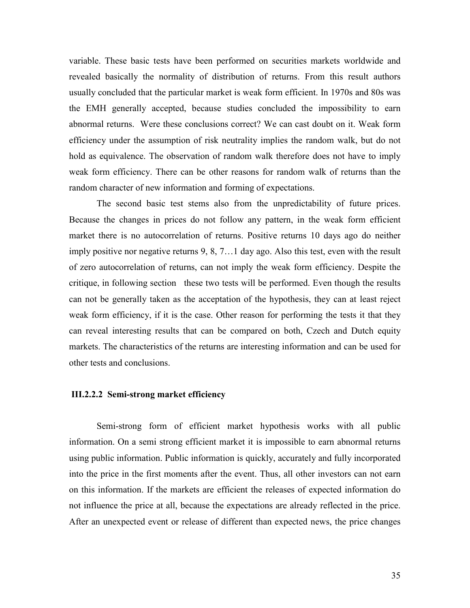variable. These basic tests have been performed on securities markets worldwide and revealed basically the normality of distribution of returns. From this result authors usually concluded that the particular market is weak form efficient. In 1970s and 80s was the EMH generally accepted, because studies concluded the impossibility to earn abnormal returns. Were these conclusions correct? We can cast doubt on it. Weak form efficiency under the assumption of risk neutrality implies the random walk, but do not hold as equivalence. The observation of random walk therefore does not have to imply weak form efficiency. There can be other reasons for random walk of returns than the random character of new information and forming of expectations.

The second basic test stems also from the unpredictability of future prices. Because the changes in prices do not follow any pattern, in the weak form efficient market there is no autocorrelation of returns. Positive returns 10 days ago do neither imply positive nor negative returns 9, 8, 7…1 day ago. Also this test, even with the result of zero autocorrelation of returns, can not imply the weak form efficiency. Despite the critique, in following section these two tests will be performed. Even though the results can not be generally taken as the acceptation of the hypothesis, they can at least reject weak form efficiency, if it is the case. Other reason for performing the tests it that they can reveal interesting results that can be compared on both, Czech and Dutch equity markets. The characteristics of the returns are interesting information and can be used for other tests and conclusions.

#### **III.2.2.2 Semi-strong market efficiency**

Semi-strong form of efficient market hypothesis works with all public information. On a semi strong efficient market it is impossible to earn abnormal returns using public information. Public information is quickly, accurately and fully incorporated into the price in the first moments after the event. Thus, all other investors can not earn on this information. If the markets are efficient the releases of expected information do not influence the price at all, because the expectations are already reflected in the price. After an unexpected event or release of different than expected news, the price changes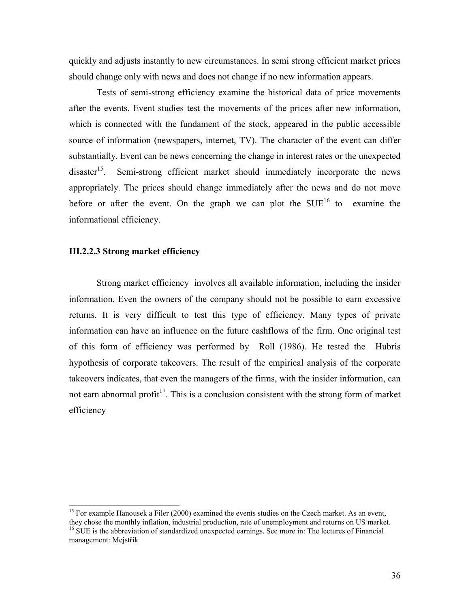quickly and adjusts instantly to new circumstances. In semi strong efficient market prices should change only with news and does not change if no new information appears.

Tests of semi-strong efficiency examine the historical data of price movements after the events. Event studies test the movements of the prices after new information, which is connected with the fundament of the stock, appeared in the public accessible source of information (newspapers, internet, TV). The character of the event can differ substantially. Event can be news concerning the change in interest rates or the unexpected disaster<sup>15</sup>. Semi-strong efficient market should immediately incorporate the news appropriately. The prices should change immediately after the news and do not move before or after the event. On the graph we can plot the  $SUE^{16}$  to examine the informational efficiency.

#### **III.2.2.3 Strong market efficiency**

l

Strong market efficiency involves all available information, including the insider information. Even the owners of the company should not be possible to earn excessive returns. It is very difficult to test this type of efficiency. Many types of private information can have an influence on the future cashflows of the firm. One original test of this form of efficiency was performed by Roll (1986). He tested the Hubris hypothesis of corporate takeovers. The result of the empirical analysis of the corporate takeovers indicates, that even the managers of the firms, with the insider information, can not earn abnormal profit<sup>17</sup>. This is a conclusion consistent with the strong form of market efficiency

<span id="page-38-2"></span><span id="page-38-1"></span><span id="page-38-0"></span><sup>&</sup>lt;sup>15</sup> For example Hanousek a Filer (2000) examined the events studies on the Czech market. As an event, they chose the monthly inflation, industrial production, rate of unemployment and returns on US market. <sup>16</sup> SUE is the abbreviation of standardized unexpected earnings. See more in: The lectures of Financial management: Mejstřík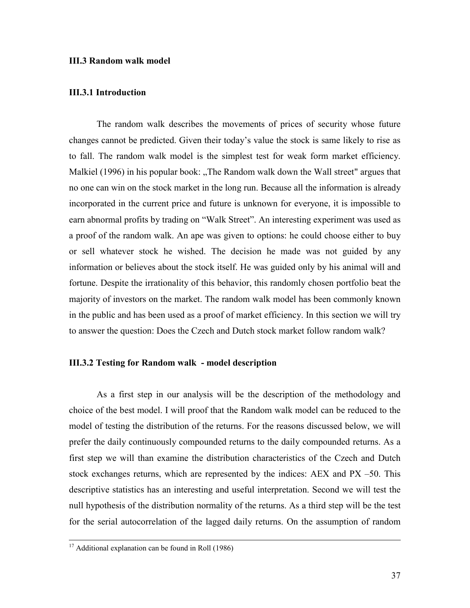#### **III.3 Random walk model**

#### **III.3.1 Introduction**

The random walk describes the movements of prices of security whose future changes cannot be predicted. Given their today's value the stock is same likely to rise as to fall. The random walk model is the simplest test for weak form market efficiency. Malkiel (1996) in his popular book: "The Random walk down the Wall street" argues that no one can win on the stock market in the long run. Because all the information is already incorporated in the current price and future is unknown for everyone, it is impossible to earn abnormal profits by trading on "Walk Street". An interesting experiment was used as a proof of the random walk. An ape was given to options: he could choose either to buy or sell whatever stock he wished. The decision he made was not guided by any information or believes about the stock itself. He was guided only by his animal will and fortune. Despite the irrationality of this behavior, this randomly chosen portfolio beat the majority of investors on the market. The random walk model has been commonly known in the public and has been used as a proof of market efficiency. In this section we will try to answer the question: Does the Czech and Dutch stock market follow random walk?

#### **III.3.2 Testing for Random walk - model description**

As a first step in our analysis will be the description of the methodology and choice of the best model. I will proof that the Random walk model can be reduced to the model of testing the distribution of the returns. For the reasons discussed below, we will prefer the daily continuously compounded returns to the daily compounded returns. As a first step we will than examine the distribution characteristics of the Czech and Dutch stock exchanges returns, which are represented by the indices: AEX and PX –50. This descriptive statistics has an interesting and useful interpretation. Second we will test the null hypothesis of the distribution normality of the returns. As a third step will be the test for the serial autocorrelation of the lagged daily returns. On the assumption of random

 $17$  Additional explanation can be found in Roll (1986)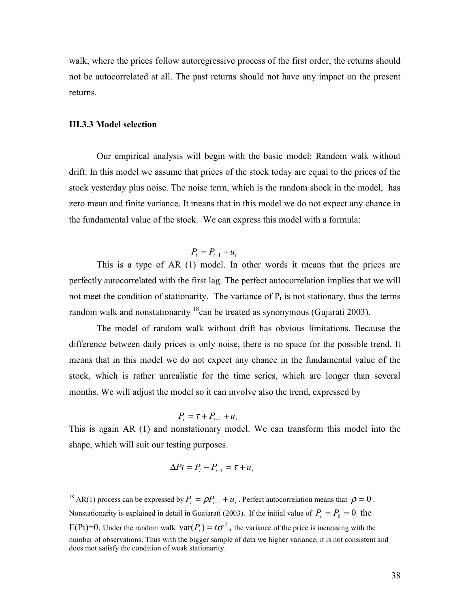walk, where the prices follow autoregressive process of the first order, the returns should not be autocorrelated at all. The past returns should not have any impact on the present returns.

#### **III.3.3 Model selection**

 $\overline{\phantom{a}}$ 

Our empirical analysis will begin with the basic model: Random walk without drift. In this model we assume that prices of the stock today are equal to the prices of the stock yesterday plus noise. The noise term, which is the random shock in the model, has zero mean and finite variance. It means that in this model we do not expect any chance in the fundamental value of the stock. We can express this model with a formula:

$$
P_t = P_{t-1} + u_t
$$

This is a type of AR (1) model. In other words it means that the prices are perfectly autocorrelated with the first lag. The perfect autocorrelation implies that we will not meet the condition of stationarity. The variance of  $P_t$  is not stationary, thus the terms random walk and nonstationarity  $18$ can be treated as synonymous (Gujarati 2003).

The model of random walk without drift has obvious limitations. Because the difference between daily prices is only noise, there is no space for the possible trend. It means that in this model we do not expect any chance in the fundamental value of the stock, which is rather unrealistic for the time series, which are longer than several months. We will adjust the model so it can involve also the trend, expressed by

$$
P_t = \tau + P_{t-1} + u_t
$$

This is again AR (1) and nonstationary model. We can transform this model into the shape, which will suit our testing purposes.

$$
\Delta P t = P_t - P_{t-1} = \tau + u_t
$$

<span id="page-40-0"></span><sup>&</sup>lt;sup>18</sup> AR(1) process can be expressed by  $P_t = \rho P_{t-1} + u_t$ . Perfect autocorrelation means that  $\rho = 0$ . Nonstationarity is explained in detail in Guajarati (2003). If the initial value of  $P_t = P_0 = 0$  the E(Pt)=0. Under the random walk  $var(P_t) = t\sigma^2$ , the variance of the price is increasing with the number of observations. Thus with the bigger sample of data we higher variance, it is not consistent and does mot satisfy the condition of weak stationarity.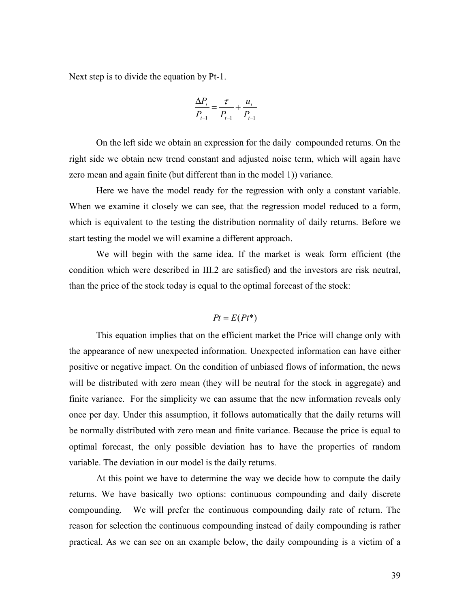Next step is to divide the equation by Pt-1.

$$
\frac{\Delta P_t}{P_{t-1}} = \frac{\tau}{P_{t-1}} + \frac{u_t}{P_{t-1}}
$$

On the left side we obtain an expression for the daily compounded returns. On the right side we obtain new trend constant and adjusted noise term, which will again have zero mean and again finite (but different than in the model 1)) variance.

Here we have the model ready for the regression with only a constant variable. When we examine it closely we can see, that the regression model reduced to a form, which is equivalent to the testing the distribution normality of daily returns. Before we start testing the model we will examine a different approach.

We will begin with the same idea. If the market is weak form efficient (the condition which were described in III.2 are satisfied) and the investors are risk neutral, than the price of the stock today is equal to the optimal forecast of the stock:

$$
Pt = E(Pt^*)
$$

This equation implies that on the efficient market the Price will change only with the appearance of new unexpected information. Unexpected information can have either positive or negative impact. On the condition of unbiased flows of information, the news will be distributed with zero mean (they will be neutral for the stock in aggregate) and finite variance. For the simplicity we can assume that the new information reveals only once per day. Under this assumption, it follows automatically that the daily returns will be normally distributed with zero mean and finite variance. Because the price is equal to optimal forecast, the only possible deviation has to have the properties of random variable. The deviation in our model is the daily returns.

At this point we have to determine the way we decide how to compute the daily returns. We have basically two options: continuous compounding and daily discrete compounding. We will prefer the continuous compounding daily rate of return. The reason for selection the continuous compounding instead of daily compounding is rather practical. As we can see on an example below, the daily compounding is a victim of a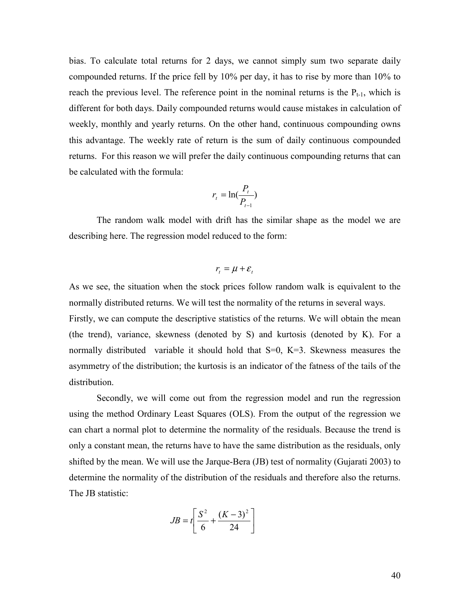bias. To calculate total returns for 2 days, we cannot simply sum two separate daily compounded returns. If the price fell by 10% per day, it has to rise by more than 10% to reach the previous level. The reference point in the nominal returns is the  $P_{t-1}$ , which is different for both days. Daily compounded returns would cause mistakes in calculation of weekly, monthly and yearly returns. On the other hand, continuous compounding owns this advantage. The weekly rate of return is the sum of daily continuous compounded returns. For this reason we will prefer the daily continuous compounding returns that can be calculated with the formula:

$$
r_t = \ln(\frac{P_t}{P_{t-1}})
$$

The random walk model with drift has the similar shape as the model we are describing here. The regression model reduced to the form:

$$
r_t = \mu + \varepsilon_t
$$

As we see, the situation when the stock prices follow random walk is equivalent to the normally distributed returns. We will test the normality of the returns in several ways. Firstly, we can compute the descriptive statistics of the returns. We will obtain the mean (the trend), variance, skewness (denoted by S) and kurtosis (denoted by K). For a normally distributed variable it should hold that  $S=0$ ,  $K=3$ . Skewness measures the asymmetry of the distribution; the kurtosis is an indicator of the fatness of the tails of the distribution.

Secondly, we will come out from the regression model and run the regression using the method Ordinary Least Squares (OLS). From the output of the regression we can chart a normal plot to determine the normality of the residuals. Because the trend is only a constant mean, the returns have to have the same distribution as the residuals, only shifted by the mean. We will use the Jarque-Bera (JB) test of normality (Gujarati 2003) to determine the normality of the distribution of the residuals and therefore also the returns. The JB statistic:

$$
JB = t \left[ \frac{S^2}{6} + \frac{(K-3)^2}{24} \right]
$$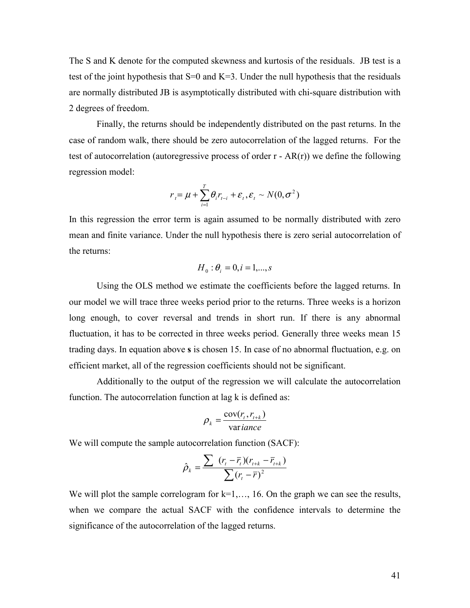The S and K denote for the computed skewness and kurtosis of the residuals. JB test is a test of the joint hypothesis that  $S=0$  and  $K=3$ . Under the null hypothesis that the residuals are normally distributed JB is asymptotically distributed with chi-square distribution with 2 degrees of freedom.

Finally, the returns should be independently distributed on the past returns. In the case of random walk, there should be zero autocorrelation of the lagged returns. For the test of autocorrelation (autoregressive process of order  $r - AR(r)$ ) we define the following regression model:

$$
r_{t} = \mu + \sum_{i=1}^{T} \theta_{i} r_{t-i} + \varepsilon_{t}, \varepsilon_{t} \sim N(0, \sigma^{2})
$$

In this regression the error term is again assumed to be normally distributed with zero mean and finite variance. Under the null hypothesis there is zero serial autocorrelation of the returns:

$$
H_0: \theta_i = 0, i = 1, \ldots, s
$$

Using the OLS method we estimate the coefficients before the lagged returns. In our model we will trace three weeks period prior to the returns. Three weeks is a horizon long enough, to cover reversal and trends in short run. If there is any abnormal fluctuation, it has to be corrected in three weeks period. Generally three weeks mean 15 trading days. In equation above **s** is chosen 15. In case of no abnormal fluctuation, e.g. on efficient market, all of the regression coefficients should not be significant.

Additionally to the output of the regression we will calculate the autocorrelation function. The autocorrelation function at lag k is defined as:

$$
\rho_k = \frac{\text{cov}(r_t, r_{t+k})}{\text{variance}}
$$

We will compute the sample autocorrelation function (SACF):

$$
\hat{\rho}_k = \frac{\sum (r_t - \overline{r}_t)(r_{t+k} - \overline{r}_{t+k})}{\sum (r_t - \overline{r})^2}
$$

We will plot the sample correlogram for  $k=1,\ldots, 16$ . On the graph we can see the results, when we compare the actual SACF with the confidence intervals to determine the significance of the autocorrelation of the lagged returns.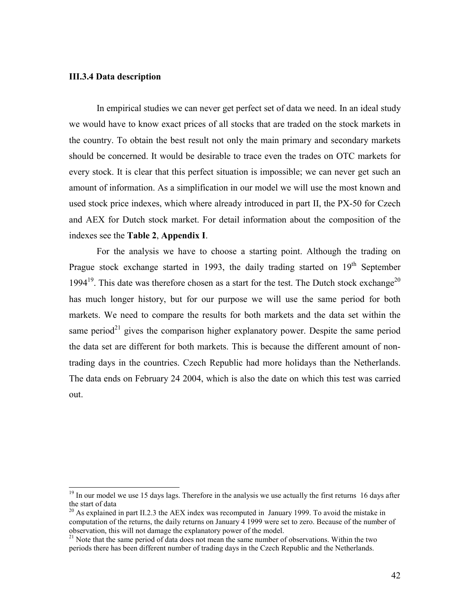#### **III.3.4 Data description**

 $\overline{a}$ 

In empirical studies we can never get perfect set of data we need. In an ideal study we would have to know exact prices of all stocks that are traded on the stock markets in the country. To obtain the best result not only the main primary and secondary markets should be concerned. It would be desirable to trace even the trades on OTC markets for every stock. It is clear that this perfect situation is impossible; we can never get such an amount of information. As a simplification in our model we will use the most known and used stock price indexes, which where already introduced in part II, the PX-50 for Czech and AEX for Dutch stock market. For detail information about the composition of the indexes see the **Table 2**, **Appendix I**.

For the analysis we have to choose a starting point. Although the trading on Prague stock exchange started in 1993, the daily trading started on  $19<sup>th</sup>$  September 1994<sup>19</sup>. This date was therefore chosen as a start for the test. The Dutch stock exchange<sup>20</sup> has much longer history, but for our purpose we will use the same period for both markets. We need to compare the results for both markets and the data set within the same period<sup>21</sup> gives the comparison higher explanatory power. Despite the same period the data set are different for both markets. This is because the different amount of nontrading days in the countries. Czech Republic had more holidays than the Netherlands. The data ends on February 24 2004, which is also the date on which this test was carried out.

<span id="page-44-0"></span><sup>&</sup>lt;sup>19</sup> In our model we use 15 days lags. Therefore in the analysis we use actually the first returns 16 days after the start of data

<span id="page-44-1"></span><sup>&</sup>lt;sup>20</sup> As explained in part II.2.3 the AEX index was recomputed in January 1999. To avoid the mistake in computation of the returns, the daily returns on January 4 1999 were set to zero. Because of the number of observation, this will not damage the explanatory power of the model.

<span id="page-44-2"></span><sup>&</sup>lt;sup>21</sup> Note that the same period of data does not mean the same number of observations. Within the two periods there has been different number of trading days in the Czech Republic and the Netherlands.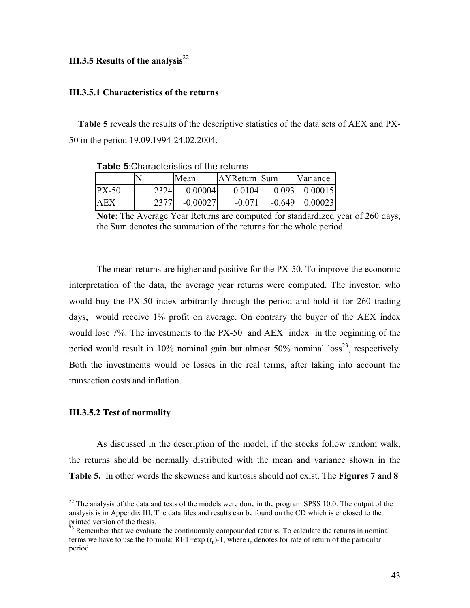#### **III.3.5 Results of the analysis**<sup>[22](#page-45-0)</sup>

#### **III.3.5.1 Characteristics of the returns**

**Table 5** reveals the results of the descriptive statistics of the data sets of AEX and PX-50 in the period 19.09.1994-24.02.2004.

|         |      | Mean       | AYReturn Sum |          | Variance          |  |  |  |
|---------|------|------------|--------------|----------|-------------------|--|--|--|
| $PX-50$ | 2324 | 0.00004    | 0.0104       |          | $0.093$ $0.00015$ |  |  |  |
| AEX     | 2377 | $-0.00027$ | $-0.071$     | $-0.649$ | 0.00023           |  |  |  |

**Table 5**:Characteristics of the returns

The mean returns are higher and positive for the PX-50. To improve the economic interpretation of the data, the average year returns were computed. The investor, who would buy the PX-50 index arbitrarily through the period and hold it for 260 trading days, would receive 1% profit on average. On contrary the buyer of the AEX index would lose 7%. The investments to the PX-50 and AEX index in the beginning of the period would result in 10% nominal gain but almost  $50\%$  nominal loss<sup>23</sup>, respectively. Both the investments would be losses in the real terms, after taking into account the transaction costs and inflation.

#### **III.3.5.2 Test of normality**

 $\overline{\phantom{a}}$ 

As discussed in the description of the model, if the stocks follow random walk, the returns should be normally distributed with the mean and variance shown in the **Table 5.** In other words the skewness and kurtosis should not exist. The **Figures 7 a**nd **8**

**Note**: The Average Year Returns are computed for standardized year of 260 days, the Sum denotes the summation of the returns for the whole period

<span id="page-45-0"></span> $22$  The analysis of the data and tests of the models were done in the program SPSS 10.0. The output of the analysis is in Appendix III. The data files and results can be found on the CD which is enclosed to the printed version of the thesis.

<span id="page-45-1"></span> $23$  Remember that we evaluate the continuously compounded returns. To calculate the returns in nominal terms we have to use the formula:  $RET=exp(r_p)-1$ , where  $r_p$  denotes for rate of return of the particular period.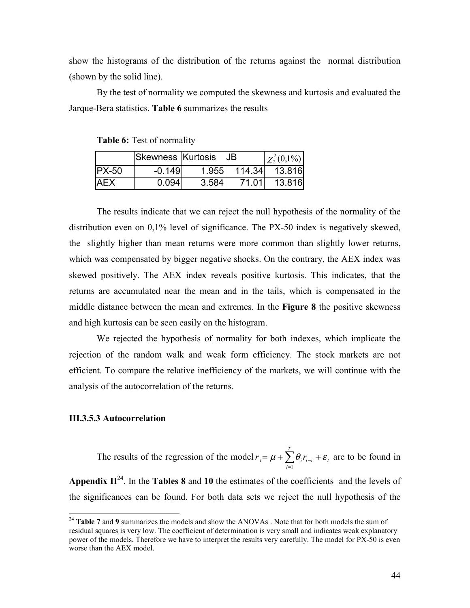show the histograms of the distribution of the returns against the normal distribution (shown by the solid line).

By the test of normality we computed the skewness and kurtosis and evaluated the Jarque-Bera statistics. **Table 6** summarizes the results

**Table 6:** Test of normality

|            | <b>Skewness Kurtosis</b> |       | IJВ    | $\chi^{2}_{2}(0,1\%)$ |
|------------|--------------------------|-------|--------|-----------------------|
| $PX-50$    | $-0.149$                 | 1.955 | 114.34 | 13.816                |
| <b>AEX</b> | 0.094                    | 3.584 | 71.01  | 13.816                |

The results indicate that we can reject the null hypothesis of the normality of the distribution even on 0,1% level of significance. The PX-50 index is negatively skewed, the slightly higher than mean returns were more common than slightly lower returns, which was compensated by bigger negative shocks. On the contrary, the AEX index was skewed positively. The AEX index reveals positive kurtosis. This indicates, that the returns are accumulated near the mean and in the tails, which is compensated in the middle distance between the mean and extremes. In the **Figure 8** the positive skewness and high kurtosis can be seen easily on the histogram.

We rejected the hypothesis of normality for both indexes, which implicate the rejection of the random walk and weak form efficiency. The stock markets are not efficient. To compare the relative inefficiency of the markets, we will continue with the analysis of the autocorrelation of the returns.

#### **III.3.5.3 Autocorrelation**

l

The results of the regression of the model  $r_i = \mu + \sum_{i} \theta_i r_{i-i} + \varepsilon_i$ *T i*  $r_{t} = \mu + \sum \theta_{i} r_{t-i} + \varepsilon$ =  $\sum_{i=1}^{1}$ are to be found in

**Appendix II**[24.](#page-46-0) In the **Tables 8** and **10** the estimates of the coefficients and the levels of the significances can be found. For both data sets we reject the null hypothesis of the

<span id="page-46-0"></span><sup>24</sup> **Table 7** and **9** summarizes the models and show the ANOVAs . Note that for both models the sum of residual squares is very low. The coefficient of determination is very small and indicates weak explanatory power of the models. Therefore we have to interpret the results very carefully. The model for PX-50 is even worse than the AEX model.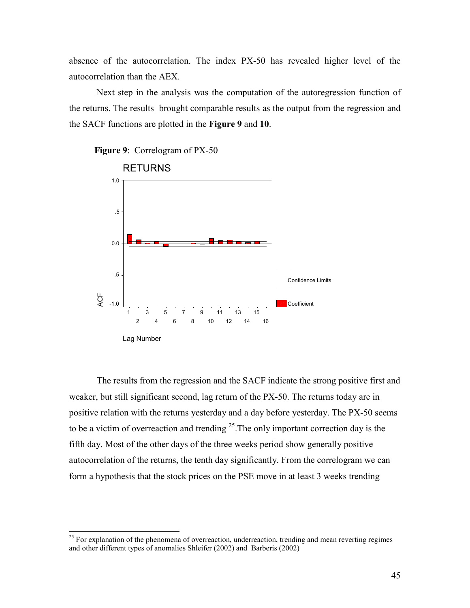absence of the autocorrelation. The index PX-50 has revealed higher level of the autocorrelation than the AEX.

Next step in the analysis was the computation of the autoregression function of the returns. The results brought comparable results as the output from the regression and the SACF functions are plotted in the **Figure 9** and **10**.

**Figure 9**: Correlogram of PX-50

 $\overline{\phantom{a}}$ 



The results from the regression and the SACF indicate the strong positive first and weaker, but still significant second, lag return of the PX-50. The returns today are in positive relation with the returns yesterday and a day before yesterday. The PX-50 seems to be a victim of overreaction and trending  $^{25}$ . The only important correction day is the fifth day. Most of the other days of the three weeks period show generally positive autocorrelation of the returns, the tenth day significantly. From the correlogram we can form a hypothesis that the stock prices on the PSE move in at least 3 weeks trending

<span id="page-47-0"></span> $25$  For explanation of the phenomena of overreaction, underreaction, trending and mean reverting regimes and other different types of anomalies Shleifer (2002) and Barberis (2002)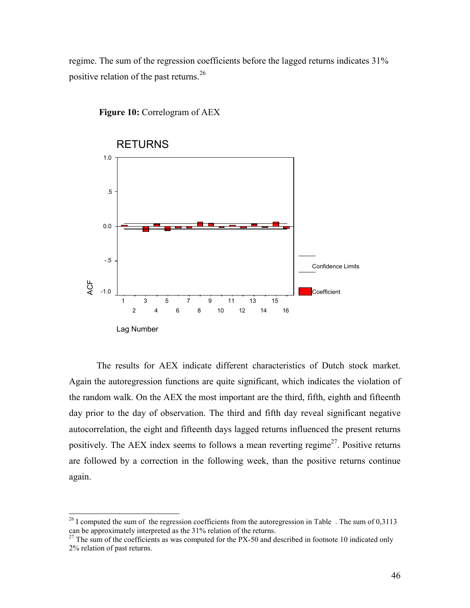regime. The sum of the regression coefficients before the lagged returns indicates 31% positive relation of the past returns.[26](#page-48-0)



 **Figure 10:** Correlogram of AEX

The results for AEX indicate different characteristics of Dutch stock market. Again the autoregression functions are quite significant, which indicates the violation of the random walk. On the AEX the most important are the third, fifth, eighth and fifteenth day prior to the day of observation. The third and fifth day reveal significant negative autocorrelation, the eight and fifteenth days lagged returns influenced the present returns positively. The AEX index seems to follows a mean reverting regime<sup>27</sup>. Positive returns are followed by a correction in the following week, than the positive returns continue again.

l

<span id="page-48-0"></span><sup>&</sup>lt;sup>26</sup> I computed the sum of the regression coefficients from the autoregression in Table. The sum of 0,3113 can be approximately interpreted as the 31% relation of the returns.

<span id="page-48-1"></span> $^{27}$  The sum of the coefficients as was computed for the PX-50 and described in footnote 10 indicated only 2% relation of past returns.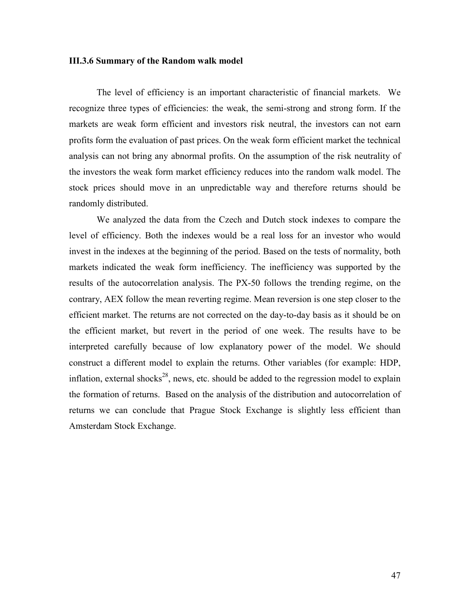#### **III.3.6 Summary of the Random walk model**

The level of efficiency is an important characteristic of financial markets. We recognize three types of efficiencies: the weak, the semi-strong and strong form. If the markets are weak form efficient and investors risk neutral, the investors can not earn profits form the evaluation of past prices. On the weak form efficient market the technical analysis can not bring any abnormal profits. On the assumption of the risk neutrality of the investors the weak form market efficiency reduces into the random walk model. The stock prices should move in an unpredictable way and therefore returns should be randomly distributed.

<span id="page-49-0"></span>We analyzed the data from the Czech and Dutch stock indexes to compare the level of efficiency. Both the indexes would be a real loss for an investor who would invest in the indexes at the beginning of the period. Based on the tests of normality, both markets indicated the weak form inefficiency. The inefficiency was supported by the results of the autocorrelation analysis. The PX-50 follows the trending regime, on the contrary, AEX follow the mean reverting regime. Mean reversion is one step closer to the efficient market. The returns are not corrected on the day-to-day basis as it should be on the efficient market, but revert in the period of one week. The results have to be interpreted carefully because of low explanatory power of the model. We should construct a different model to explain the returns. Other variables (for example: HDP, inflation, external shocks<sup>28</sup>, news, etc. should be added to the regression model to explain the formation of returns. Based on the analysis of the distribution and autocorrelation of returns we can conclude that Prague Stock Exchange is slightly less efficient than Amsterdam Stock Exchange.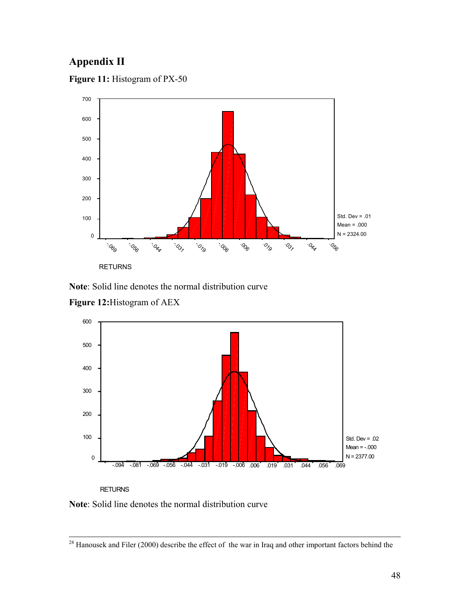## **Appendix II**

Figure 11: Histogram of PX-50



**Note**: Solid line denotes the normal distribution curve **Figure 12:**Histogram of AEX



**RETURNS** 

**Note**: Solid line denotes the normal distribution curve

<sup>&</sup>lt;sup>28</sup> Hanousek and Filer (2000) describe the effect of the war in Iraq and other important factors behind the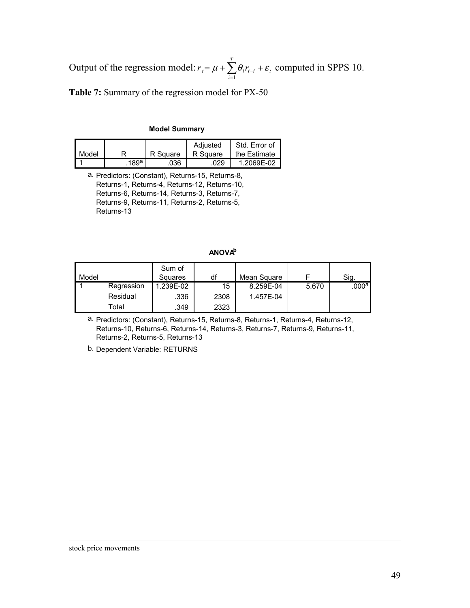Output of the regression model:  $r_{i} = \mu + \sum_{i=1}^{T} \theta_{i} r_{t-i} + \varepsilon_{i}$ *i*  $r_{t} = \mu + \sum \theta_{i} r_{t-i} + \varepsilon$ =  $\sum_{i=1}^{1}$ computed in SPPS 10.

**Table 7:** Summary of the regression model for PX-50

#### **Model Summary**

| Model |      | R Square | Adjusted<br>R Square | Std. Error of<br>the Estimate |
|-------|------|----------|----------------------|-------------------------------|
|       | 189a | 036      | 029                  | 1.2069F-02                    |

a. Predictors: (Constant), Returns-15, Returns-8, Returns-1, Returns-4, Returns-12, Returns-10, Returns-6, Returns-14, Returns-3, Returns-7, Returns-9, Returns-11, Returns-2, Returns-5, Returns-13

#### **ANOVAb**

| Model |            | Sum of<br>Squares | df   | Mean Square |       | Sig.              |
|-------|------------|-------------------|------|-------------|-------|-------------------|
|       | Regression | .239E-02          | 15   | 8.259E-04   | 5.670 | .000 <sup>a</sup> |
|       | Residual   | .336              | 2308 | 1.457E-04   |       |                   |
|       | ⊤otal      | .349              | 2323 |             |       |                   |

a. Predictors: (Constant), Returns-15, Returns-8, Returns-1, Returns-4, Returns-12, Returns-10, Returns-6, Returns-14, Returns-3, Returns-7, Returns-9, Returns-11, Returns-2, Returns-5, Returns-13

b. Dependent Variable: RETURNS

 $\overline{a}$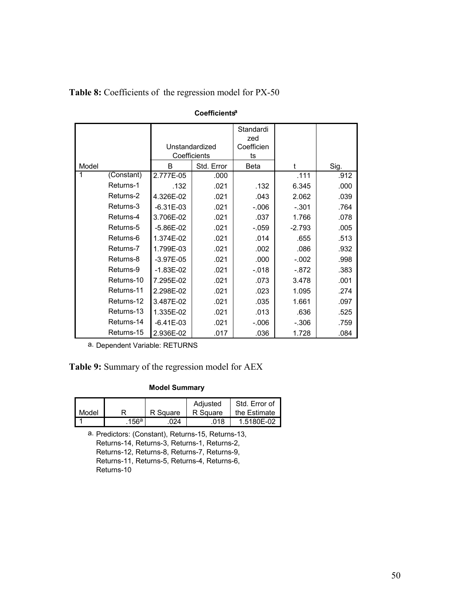|            |            |                |      | Standardi  |          |      |
|------------|------------|----------------|------|------------|----------|------|
|            |            |                |      | zed        |          |      |
|            |            | Unstandardized |      | Coefficien |          |      |
|            |            | Coefficients   |      | ts         |          |      |
| B<br>Model |            | Std. Error     | Beta | t          | Sig.     |      |
|            | (Constant) | 2.777E-05      | .000 |            | .111     | .912 |
|            | Returns-1  | .132           | .021 | .132       | 6.345    | .000 |
|            | Returns-2  | 4.326E-02      | .021 | .043       | 2.062    | .039 |
|            | Returns-3  | $-6.31E - 03$  | .021 | $-.006$    | $-.301$  | .764 |
|            | Returns-4  | 3.706E-02      | .021 | .037       | 1.766    | .078 |
|            | Returns-5  | $-5.86E - 02$  | .021 | $-.059$    | $-2.793$ | .005 |
|            | Returns-6  | 1.374E-02      | .021 | .014       | .655     | .513 |
|            | Returns-7  | 1.799E-03      | .021 | .002       | .086     | .932 |
|            | Returns-8  | $-3.97E-05$    | .021 | .000       | $-.002$  | .998 |
|            | Returns-9  | $-1.83E-02$    | .021 | -.018      | $-.872$  | .383 |
|            | Returns-10 | 7.295E-02      | .021 | .073       | 3.478    | .001 |
|            | Returns-11 | 2.298E-02      | .021 | .023       | 1.095    | .274 |
|            | Returns-12 | 3.487E-02      | .021 | .035       | 1.661    | .097 |
|            | Returns-13 | 1.335E-02      | .021 | .013       | .636     | .525 |
|            | Returns-14 | $-6.41E-03$    | .021 | $-0.06$    | $-.306$  | .759 |
|            | Returns-15 | 2.936E-02      | .017 | .036       | 1.728    | .084 |

**Table 8:** Coefficients of the regression model for PX-50

**Coefficientsa**

a. Dependent Variable: RETURNS

#### **Table 9:** Summary of the regression model for AEX

#### **Model Summary**

| Model |      | R Square | Adiusted<br>R Square | Std. Error of<br>the Estimate |
|-------|------|----------|----------------------|-------------------------------|
|       | 156a | 024      | .018                 | 1.5180E-02                    |

a. Predictors: (Constant), Returns-15, Returns-13, Returns-14, Returns-3, Returns-1, Returns-2, Returns-12, Returns-8, Returns-7, Returns-9, Returns-11, Returns-5, Returns-4, Returns-6, Returns-10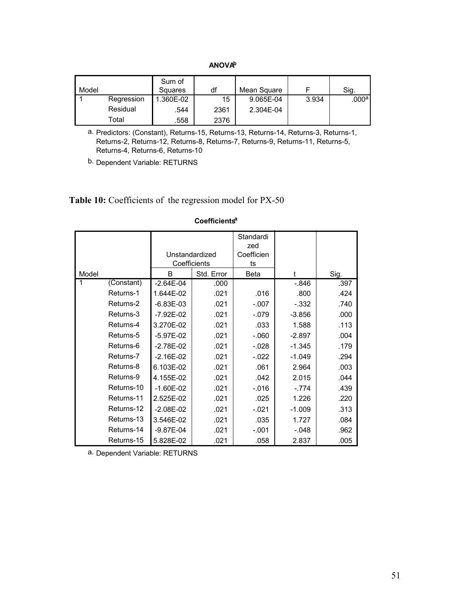**ANOVAb**

| Model |            | Sum of<br>Squares | df   | Mean Square |       | Sig.              |
|-------|------------|-------------------|------|-------------|-------|-------------------|
|       | Regression | .360E-02          | 15   | 9.065E-04   | 3.934 | .000 <sup>a</sup> |
|       | Residual   | .544              | 2361 | 2.304E-04   |       |                   |
|       | Total      | .558              | 2376 |             |       |                   |

a. Predictors: (Constant), Returns-15, Returns-13, Returns-14, Returns-3, Returns-1, Returns-2, Returns-12, Returns-8, Returns-7, Returns-9, Returns-11, Returns-5, Returns-4, Returns-6, Returns-10

b. Dependent Variable: RETURNS

Table 10: Coefficients of the regression model for PX-50

|       |            |               |                | Standardi  |          |      |
|-------|------------|---------------|----------------|------------|----------|------|
|       |            |               |                | zed        |          |      |
|       |            |               | Unstandardized | Coefficien |          |      |
|       |            |               | Coefficients   | ts         |          |      |
| Model |            | B             | Std. Error     | Beta       | t        | Sig. |
| 1     | (Constant) | $-2.64E-04$   | .000           |            | $-.846$  | .397 |
|       | Returns-1  | 1.644E-02     | .021           | .016       | .800     | .424 |
|       | Returns-2  | $-6.83E - 03$ | .021           | $-.007$    | $-.332$  | .740 |
|       | Returns-3  | -7.92E-02     | .021           | $-.079$    | $-3.856$ | .000 |
|       | Returns-4  | 3.270E-02     | .021           | .033       | 1.588    | .113 |
|       | Returns-5  | $-5.97E-02$   | .021           | $-.060$    | $-2.897$ | .004 |
|       | Returns-6  | $-2.78E-02$   | .021           | $-.028$    | $-1.345$ | .179 |
|       | Returns-7  | $-2.16E-02$   | .021           | $-.022$    | $-1.049$ | .294 |
|       | Returns-8  | 6.103E-02     | .021           | .061       | 2.964    | .003 |
|       | Returns-9  | 4.155E-02     | .021           | .042       | 2.015    | .044 |
|       | Returns-10 | $-1.60E - 02$ | .021           | $-0.016$   | $-.774$  | .439 |
|       | Returns-11 | 2.525E-02     | .021           | .025       | 1.226    | .220 |
|       | Returns-12 | $-2.08E - 02$ | .021           | $-.021$    | $-1.009$ | .313 |
|       | Returns-13 | 3.546E-02     | .021           | .035       | 1.727    | .084 |
|       | Returns-14 | $-9.87E - 04$ | .021           | $-.001$    | $-.048$  | .962 |
|       | Returns-15 | 5.828E-02     | .021           | .058       | 2.837    | .005 |

#### **Coefficientsa**

a. Dependent Variable: RETURNS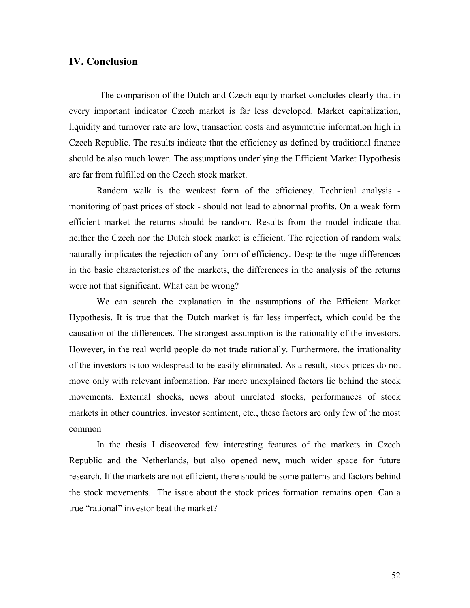### **IV. Conclusion**

 The comparison of the Dutch and Czech equity market concludes clearly that in every important indicator Czech market is far less developed. Market capitalization, liquidity and turnover rate are low, transaction costs and asymmetric information high in Czech Republic. The results indicate that the efficiency as defined by traditional finance should be also much lower. The assumptions underlying the Efficient Market Hypothesis are far from fulfilled on the Czech stock market.

Random walk is the weakest form of the efficiency. Technical analysis monitoring of past prices of stock - should not lead to abnormal profits. On a weak form efficient market the returns should be random. Results from the model indicate that neither the Czech nor the Dutch stock market is efficient. The rejection of random walk naturally implicates the rejection of any form of efficiency. Despite the huge differences in the basic characteristics of the markets, the differences in the analysis of the returns were not that significant. What can be wrong?

We can search the explanation in the assumptions of the Efficient Market Hypothesis. It is true that the Dutch market is far less imperfect, which could be the causation of the differences. The strongest assumption is the rationality of the investors. However, in the real world people do not trade rationally. Furthermore, the irrationality of the investors is too widespread to be easily eliminated. As a result, stock prices do not move only with relevant information. Far more unexplained factors lie behind the stock movements. External shocks, news about unrelated stocks, performances of stock markets in other countries, investor sentiment, etc., these factors are only few of the most common

In the thesis I discovered few interesting features of the markets in Czech Republic and the Netherlands, but also opened new, much wider space for future research. If the markets are not efficient, there should be some patterns and factors behind the stock movements. The issue about the stock prices formation remains open. Can a true "rational" investor beat the market?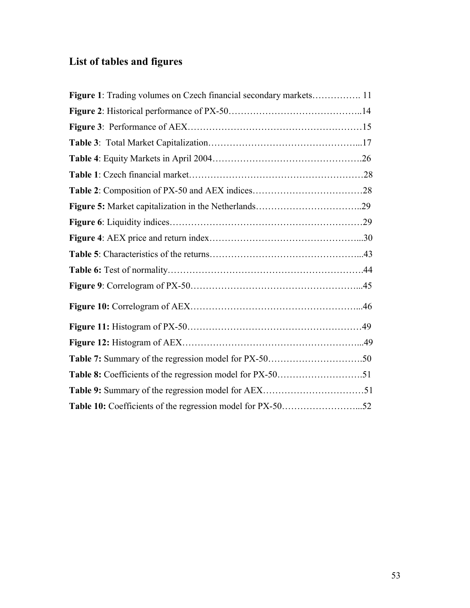# **List of tables and figures**

| Figure 1: Trading volumes on Czech financial secondary markets 11 |  |
|-------------------------------------------------------------------|--|
|                                                                   |  |
|                                                                   |  |
|                                                                   |  |
|                                                                   |  |
|                                                                   |  |
|                                                                   |  |
|                                                                   |  |
|                                                                   |  |
|                                                                   |  |
|                                                                   |  |
|                                                                   |  |
|                                                                   |  |
|                                                                   |  |
|                                                                   |  |
|                                                                   |  |
|                                                                   |  |
|                                                                   |  |
|                                                                   |  |
| Table 10: Coefficients of the regression model for PX-5052        |  |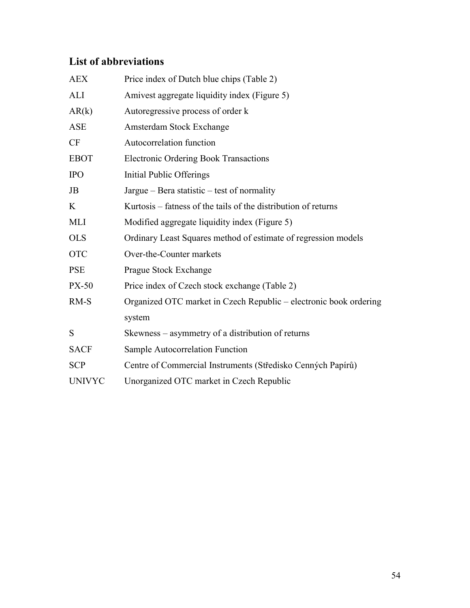## **List of abbreviations**

| <b>AEX</b>    | Price index of Dutch blue chips (Table 2)                         |  |  |  |
|---------------|-------------------------------------------------------------------|--|--|--|
| ALI           | Amivest aggregate liquidity index (Figure 5)                      |  |  |  |
| AR(k)         | Autoregressive process of order k                                 |  |  |  |
| <b>ASE</b>    | Amsterdam Stock Exchange                                          |  |  |  |
| <b>CF</b>     | Autocorrelation function                                          |  |  |  |
| <b>EBOT</b>   | <b>Electronic Ordering Book Transactions</b>                      |  |  |  |
| <b>IPO</b>    | Initial Public Offerings                                          |  |  |  |
| JB            | Jargue – Bera statistic – test of normality                       |  |  |  |
| K             | Kurtosis – fatness of the tails of the distribution of returns    |  |  |  |
| MLI           | Modified aggregate liquidity index (Figure 5)                     |  |  |  |
| <b>OLS</b>    | Ordinary Least Squares method of estimate of regression models    |  |  |  |
| <b>OTC</b>    | Over-the-Counter markets                                          |  |  |  |
| <b>PSE</b>    | Prague Stock Exchange                                             |  |  |  |
| <b>PX-50</b>  | Price index of Czech stock exchange (Table 2)                     |  |  |  |
| RM-S          | Organized OTC market in Czech Republic – electronic book ordering |  |  |  |
|               | system                                                            |  |  |  |
| S             | Skewness – asymmetry of a distribution of returns                 |  |  |  |
| <b>SACF</b>   | Sample Autocorrelation Function                                   |  |  |  |
| <b>SCP</b>    | Centre of Commercial Instruments (Středisko Cenných Papírů)       |  |  |  |
| <b>UNIVYC</b> | Unorganized OTC market in Czech Republic                          |  |  |  |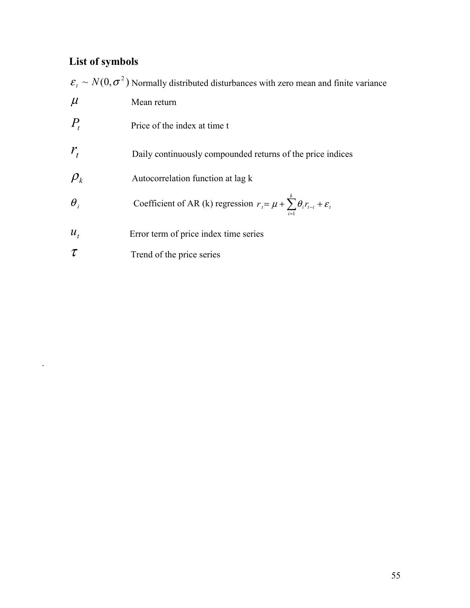## **List of symbols**

.

 $\mathcal{E}_t \sim N(0, \sigma^2)$  Normally distributed disturbances with zero mean and finite variance  $\mu$  Mean return  $P_t$  Price of the index at time t  $r_t$  Daily continuously compounded returns of the price indices  $\rho_k$  Autocorrelation function at lag k  $\theta_i$  Coefficient of AR (k) regression  $r_i = \mu + \sum_{i=1}^{k} \theta_i r_{i-i} + \varepsilon_i$ *i*  $r_{t} = \mu + \sum \theta_{i} r_{t-i} + \varepsilon_{i}$ =  $\sum_{i=1}^{n}$  $u_t$  Error term of price index time series  $\tau$  Trend of the price series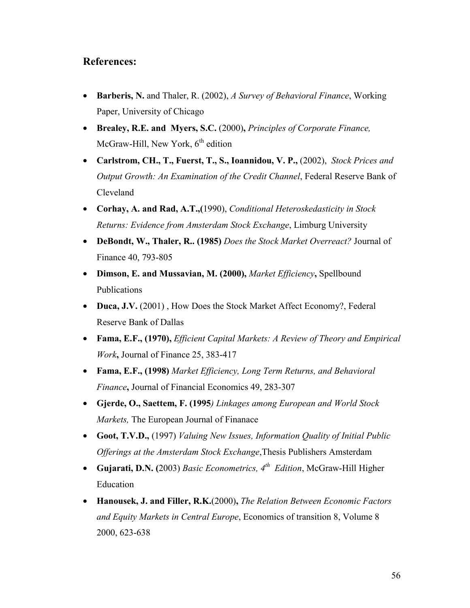## **References:**

- **Barberis, N.** and Thaler, R. (2002), *A Survey of Behavioral Finance*, Working Paper, University of Chicago
- **Brealey, R.E. and Myers, S.C.** (2000)**,** *Principles of Corporate Finance,* McGraw-Hill, New York,  $6<sup>th</sup>$  edition
- **Carlstrom, CH., T., Fuerst, T., S., Ioannidou, V. P.,** (2002), *Stock Prices and Output Growth: An Examination of the Credit Channel*, Federal Reserve Bank of Cleveland
- **Corhay, A. and Rad, A.T.,(**1990), *Conditional Heteroskedasticity in Stock Returns: Evidence from Amsterdam Stock Exchange*, Limburg University
- **DeBondt, W., Thaler, R.. (1985)** *Does the Stock Market Overreact?* Journal of Finance 40, 793-805
- **Dimson, E. and Mussavian, M. (2000),** *Market Efficiency***,** Spellbound Publications
- **Duca, J.V.** (2001), How Does the Stock Market Affect Economy?, Federal Reserve Bank of Dallas
- **Fama, E.F., (1970),** *Efficient Capital Markets: A Review of Theory and Empirical Work***,** Journal of Finance 25, 383-417
- **Fama, E.F., (1998)** *Market Efficiency, Long Term Returns, and Behavioral Finance***,** Journal of Financial Economics 49, 283-307
- **Gjerde, O., Saettem, F. (1995***) Linkages among European and World Stock Markets,* The European Journal of Finanace
- **Goot, T.V.D.,** (1997) *Valuing New Issues, Information Quality of Initial Public Offerings at the Amsterdam Stock Exchange*,Thesis Publishers Amsterdam
- **Gujarati, D.N. (**2003) *Basic Econometrics, 4th Edition*, McGraw-Hill Higher Education
- **Hanousek, J. and Filler, R.K.**(2000)**,** *The Relation Between Economic Factors and Equity Markets in Central Europe*, Economics of transition 8, Volume 8 2000, 623-638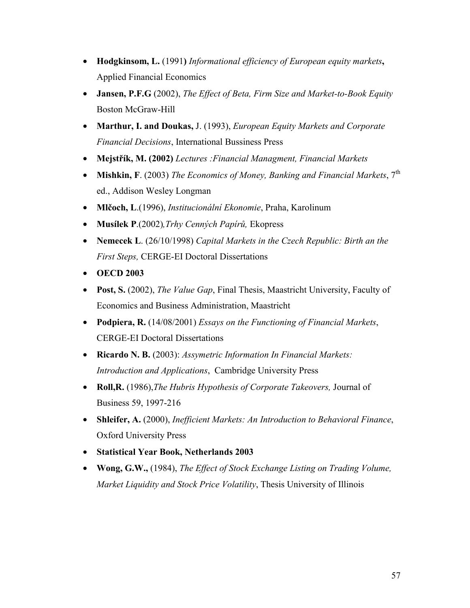- **Hodgkinsom, L.** (1991**)** *Informational efficiency of European equity markets***,** Applied Financial Economics
- **Jansen, P.F.G** (2002), *The Effect of Beta, Firm Size and Market-to-Book Equity* Boston McGraw-Hill
- **Marthur, I. and Doukas,** J. (1993), *European Equity Markets and Corporate Financial Decisions*, International Bussiness Press
- **Mejstřík, M. (2002)** *Lectures :Financial Managment, Financial Markets*
- **Mishkin, F**. (2003) *The Economics of Money, Banking and Financial Markets*, 7<sup>th</sup> ed., Addison Wesley Longman
- **Mlčoch, L**.(1996), *Institucionální Ekonomie*, Praha, Karolinum
- **Musílek P**.(2002)*,Trhy Cenných Papírů,* Ekopress
- **Nemecek L**. (26/10/1998) *Capital Markets in the Czech Republic: Birth an the First Steps,* CERGE-EI Doctoral Dissertations
- **OECD 2003**
- **Post, S.** (2002), *The Value Gap*, Final Thesis, Maastricht University, Faculty of Economics and Business Administration, Maastricht
- **Podpiera, R.** (14/08/2001) *Essays on the Functioning of Financial Markets*, CERGE-EI Doctoral Dissertations
- **Ricardo N. B.** (2003): *Assymetric Information In Financial Markets: Introduction and Applications*, Cambridge University Press
- **Roll,R.** (1986),*The Hubris Hypothesis of Corporate Takeovers,* Journal of Business 59, 1997-216
- **Shleifer, A.** (2000), *Inefficient Markets: An Introduction to Behavioral Finance*, Oxford University Press
- **Statistical Year Book, Netherlands 2003**
- **Wong, G.W.,** (1984), *The Effect of Stock Exchange Listing on Trading Volume, Market Liquidity and Stock Price Volatility*, Thesis University of Illinois